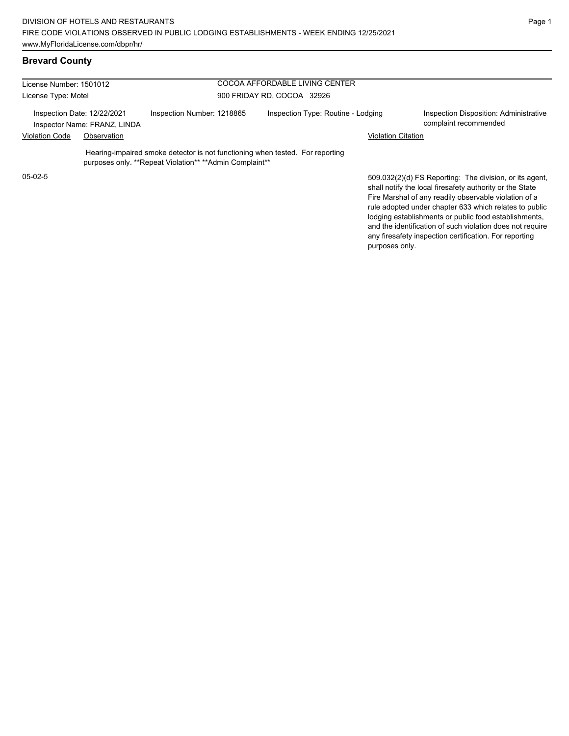# **Brevard County**

| License Number: 1501012 |                                                             |                                                                                                                                          | COCOA AFFORDABLE LIVING CENTER     |                                                                                                                                                                                                                                                                                                 |
|-------------------------|-------------------------------------------------------------|------------------------------------------------------------------------------------------------------------------------------------------|------------------------------------|-------------------------------------------------------------------------------------------------------------------------------------------------------------------------------------------------------------------------------------------------------------------------------------------------|
| License Type: Motel     |                                                             |                                                                                                                                          | 900 FRIDAY RD, COCOA 32926         |                                                                                                                                                                                                                                                                                                 |
|                         | Inspection Date: 12/22/2021<br>Inspector Name: FRANZ, LINDA | Inspection Number: 1218865                                                                                                               | Inspection Type: Routine - Lodging | <b>Inspection Disposition: Administrative</b><br>complaint recommended                                                                                                                                                                                                                          |
| <b>Violation Code</b>   | Observation                                                 |                                                                                                                                          | <b>Violation Citation</b>          |                                                                                                                                                                                                                                                                                                 |
|                         |                                                             | Hearing-impaired smoke detector is not functioning when tested. For reporting<br>purposes only. **Repeat Violation** **Admin Complaint** |                                    |                                                                                                                                                                                                                                                                                                 |
| $05-02-5$               |                                                             |                                                                                                                                          |                                    | 509.032(2)(d) FS Reporting: The division, or its agent,<br>shall notify the local firesafety authority or the State<br>Fire Marshal of any readily observable violation of a<br>rule adopted under chapter 633 which relates to public<br>lodging establishments or public food establishments, |

and the identification of such violation does not require any firesafety inspection certification. For reporting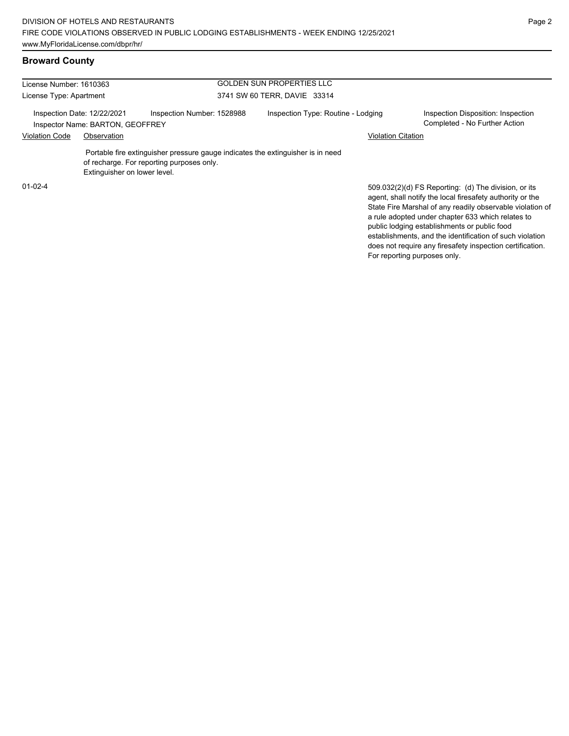# **Broward County**

| License Number: 1610363 |                                                                 |                                                                                                                              | <b>GOLDEN SUN PROPERTIES LLC</b>   |                                                                                                                                                                                                                                                                                     |  |  |  |
|-------------------------|-----------------------------------------------------------------|------------------------------------------------------------------------------------------------------------------------------|------------------------------------|-------------------------------------------------------------------------------------------------------------------------------------------------------------------------------------------------------------------------------------------------------------------------------------|--|--|--|
| License Type: Apartment |                                                                 |                                                                                                                              | 3741 SW 60 TERR, DAVIE 33314       |                                                                                                                                                                                                                                                                                     |  |  |  |
|                         | Inspection Date: 12/22/2021<br>Inspector Name: BARTON, GEOFFREY | Inspection Number: 1528988                                                                                                   | Inspection Type: Routine - Lodging | Inspection Disposition: Inspection<br>Completed - No Further Action                                                                                                                                                                                                                 |  |  |  |
| <b>Violation Code</b>   | Observation                                                     |                                                                                                                              | <b>Violation Citation</b>          |                                                                                                                                                                                                                                                                                     |  |  |  |
|                         | Extinguisher on lower level.                                    | Portable fire extinguisher pressure gauge indicates the extinguisher is in need<br>of recharge. For reporting purposes only. |                                    |                                                                                                                                                                                                                                                                                     |  |  |  |
| $01-02-4$               |                                                                 |                                                                                                                              |                                    | 509.032(2)(d) FS Reporting: (d) The division, or its<br>agent, shall notify the local firesafety authority or the<br>State Fire Marshal of any readily observable violation of<br>a rule adopted under chapter 633 which relates to<br>public lodging establishments or public food |  |  |  |

establishments, and the identification of such violation does not require any firesafety inspection certification.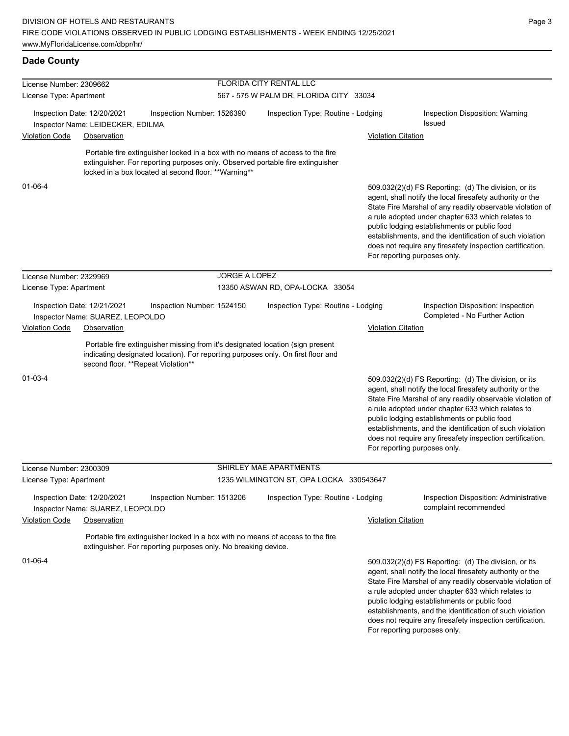| License Number: 2309662              |                                                                  | FLORIDA CITY RENTAL LLC                                        |                                         |                                                                                                                                                                    |                           |                                                                                                                                                                                                                                                                                                                                                                                                                                              |  |  |
|--------------------------------------|------------------------------------------------------------------|----------------------------------------------------------------|-----------------------------------------|--------------------------------------------------------------------------------------------------------------------------------------------------------------------|---------------------------|----------------------------------------------------------------------------------------------------------------------------------------------------------------------------------------------------------------------------------------------------------------------------------------------------------------------------------------------------------------------------------------------------------------------------------------------|--|--|
| License Type: Apartment              |                                                                  |                                                                | 567 - 575 W PALM DR, FLORIDA CITY 33034 |                                                                                                                                                                    |                           |                                                                                                                                                                                                                                                                                                                                                                                                                                              |  |  |
|                                      | Inspection Date: 12/20/2021<br>Inspector Name: LEIDECKER, EDILMA | Inspection Number: 1526390                                     |                                         | Inspection Type: Routine - Lodging                                                                                                                                 |                           | Inspection Disposition: Warning<br>Issued                                                                                                                                                                                                                                                                                                                                                                                                    |  |  |
| <b>Violation Code</b>                | Observation                                                      |                                                                |                                         |                                                                                                                                                                    | <b>Violation Citation</b> |                                                                                                                                                                                                                                                                                                                                                                                                                                              |  |  |
|                                      |                                                                  | locked in a box located at second floor. ** Warning**          |                                         | Portable fire extinguisher locked in a box with no means of access to the fire<br>extinguisher. For reporting purposes only. Observed portable fire extinguisher   |                           |                                                                                                                                                                                                                                                                                                                                                                                                                                              |  |  |
| $01 - 06 - 4$                        |                                                                  |                                                                |                                         |                                                                                                                                                                    |                           | 509.032(2)(d) FS Reporting: (d) The division, or its<br>agent, shall notify the local firesafety authority or the<br>State Fire Marshal of any readily observable violation of<br>a rule adopted under chapter 633 which relates to<br>public lodging establishments or public food<br>establishments, and the identification of such violation<br>does not require any firesafety inspection certification.<br>For reporting purposes only. |  |  |
| License Number: 2329969              |                                                                  |                                                                | <b>JORGE A LOPEZ</b>                    |                                                                                                                                                                    |                           |                                                                                                                                                                                                                                                                                                                                                                                                                                              |  |  |
| License Type: Apartment              |                                                                  |                                                                | 13350 ASWAN RD, OPA-LOCKA 33054         |                                                                                                                                                                    |                           |                                                                                                                                                                                                                                                                                                                                                                                                                                              |  |  |
|                                      | Inspection Date: 12/21/2021<br>Inspector Name: SUAREZ, LEOPOLDO  | Inspection Number: 1524150                                     |                                         | Inspection Type: Routine - Lodging                                                                                                                                 |                           | Inspection Disposition: Inspection<br>Completed - No Further Action                                                                                                                                                                                                                                                                                                                                                                          |  |  |
| <b>Violation Code</b><br>Observation |                                                                  |                                                                | <b>Violation Citation</b>               |                                                                                                                                                                    |                           |                                                                                                                                                                                                                                                                                                                                                                                                                                              |  |  |
|                                      | second floor. ** Repeat Violation**                              |                                                                |                                         | Portable fire extinguisher missing from it's designated location (sign present<br>indicating designated location). For reporting purposes only. On first floor and |                           |                                                                                                                                                                                                                                                                                                                                                                                                                                              |  |  |
| 01-03-4                              |                                                                  |                                                                |                                         |                                                                                                                                                                    |                           | 509.032(2)(d) FS Reporting: (d) The division, or its<br>agent, shall notify the local firesafety authority or the<br>State Fire Marshal of any readily observable violation of<br>a rule adopted under chapter 633 which relates to<br>public lodging establishments or public food<br>establishments, and the identification of such violation<br>does not require any firesafety inspection certification.<br>For reporting purposes only. |  |  |
| License Number: 2300309              |                                                                  |                                                                |                                         | SHIRLEY MAE APARTMENTS                                                                                                                                             |                           |                                                                                                                                                                                                                                                                                                                                                                                                                                              |  |  |
| License Type: Apartment              |                                                                  |                                                                |                                         | 1235 WILMINGTON ST, OPA LOCKA 330543647                                                                                                                            |                           |                                                                                                                                                                                                                                                                                                                                                                                                                                              |  |  |
|                                      | Inspection Date: 12/20/2021<br>Inspector Name: SUAREZ, LEOPOLDO  | Inspection Number: 1513206                                     |                                         | Inspection Type: Routine - Lodging                                                                                                                                 |                           | Inspection Disposition: Administrative<br>complaint recommended                                                                                                                                                                                                                                                                                                                                                                              |  |  |
| <b>Violation Code</b>                | Observation                                                      |                                                                |                                         |                                                                                                                                                                    | <b>Violation Citation</b> |                                                                                                                                                                                                                                                                                                                                                                                                                                              |  |  |
|                                      |                                                                  | extinguisher. For reporting purposes only. No breaking device. |                                         | Portable fire extinguisher locked in a box with no means of access to the fire                                                                                     |                           |                                                                                                                                                                                                                                                                                                                                                                                                                                              |  |  |
| 01-06-4                              |                                                                  |                                                                |                                         |                                                                                                                                                                    |                           | 509.032(2)(d) FS Reporting: (d) The division, or its<br>agent, shall notify the local firesafety authority or the<br>State Fire Marshal of any readily observable violation of<br>a rule adopted under chapter 633 which relates to<br>public lodging establishments or public food<br>establishments, and the identification of such violation<br>does not require any firesafety inspection certification.                                 |  |  |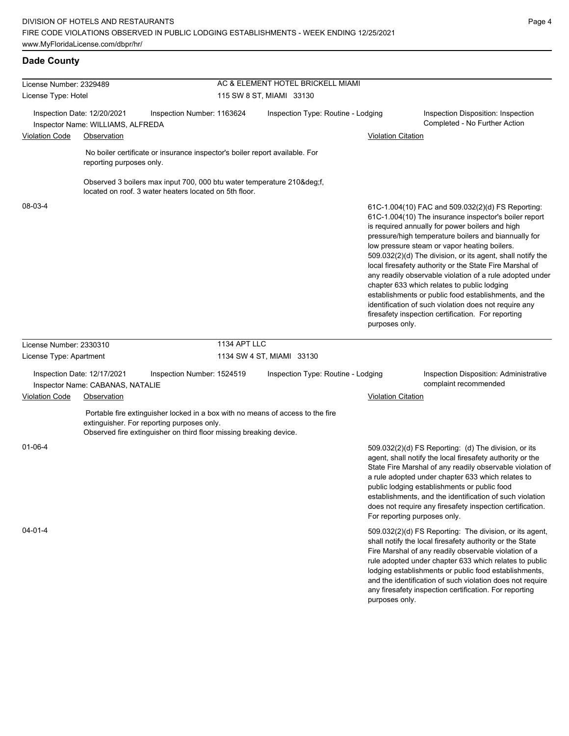| License Number: 2329489                                                                        |                                                 |                                                                                                                                                                                                    | AC & ELEMENT HOTEL BRICKELL MIAMI |                                    |                                                                     |                                                                                                                                                                                                                                                                                                                                                                                                                                                                                                                                                                                                                                                                                   |  |  |
|------------------------------------------------------------------------------------------------|-------------------------------------------------|----------------------------------------------------------------------------------------------------------------------------------------------------------------------------------------------------|-----------------------------------|------------------------------------|---------------------------------------------------------------------|-----------------------------------------------------------------------------------------------------------------------------------------------------------------------------------------------------------------------------------------------------------------------------------------------------------------------------------------------------------------------------------------------------------------------------------------------------------------------------------------------------------------------------------------------------------------------------------------------------------------------------------------------------------------------------------|--|--|
| License Type: Hotel                                                                            |                                                 |                                                                                                                                                                                                    | 115 SW 8 ST, MIAMI 33130          |                                    |                                                                     |                                                                                                                                                                                                                                                                                                                                                                                                                                                                                                                                                                                                                                                                                   |  |  |
| Inspection Date: 12/20/2021<br>Inspection Number: 1163624<br>Inspector Name: WILLIAMS, ALFREDA |                                                 |                                                                                                                                                                                                    |                                   | Inspection Type: Routine - Lodging | Inspection Disposition: Inspection<br>Completed - No Further Action |                                                                                                                                                                                                                                                                                                                                                                                                                                                                                                                                                                                                                                                                                   |  |  |
| <b>Violation Code</b><br>Observation                                                           |                                                 |                                                                                                                                                                                                    |                                   |                                    | <b>Violation Citation</b>                                           |                                                                                                                                                                                                                                                                                                                                                                                                                                                                                                                                                                                                                                                                                   |  |  |
|                                                                                                |                                                 |                                                                                                                                                                                                    |                                   |                                    |                                                                     |                                                                                                                                                                                                                                                                                                                                                                                                                                                                                                                                                                                                                                                                                   |  |  |
|                                                                                                | reporting purposes only.                        | No boiler certificate or insurance inspector's boiler report available. For                                                                                                                        |                                   |                                    |                                                                     |                                                                                                                                                                                                                                                                                                                                                                                                                                                                                                                                                                                                                                                                                   |  |  |
|                                                                                                |                                                 | Observed 3 boilers max input 700, 000 btu water temperature 210°f,<br>located on roof. 3 water heaters located on 5th floor.                                                                       |                                   |                                    |                                                                     |                                                                                                                                                                                                                                                                                                                                                                                                                                                                                                                                                                                                                                                                                   |  |  |
| 08-03-4<br>License Number: 2330310                                                             |                                                 |                                                                                                                                                                                                    | 1134 APT LLC                      |                                    | purposes only.                                                      | 61C-1.004(10) FAC and 509.032(2)(d) FS Reporting:<br>61C-1.004(10) The insurance inspector's boiler report<br>is required annually for power boilers and high<br>pressure/high temperature boilers and biannually for<br>low pressure steam or vapor heating boilers.<br>509.032(2)(d) The division, or its agent, shall notify the<br>local firesafety authority or the State Fire Marshal of<br>any readily observable violation of a rule adopted under<br>chapter 633 which relates to public lodging<br>establishments or public food establishments, and the<br>identification of such violation does not require any<br>firesafety inspection certification. For reporting |  |  |
| License Type: Apartment                                                                        |                                                 |                                                                                                                                                                                                    |                                   | 1134 SW 4 ST, MIAMI 33130          |                                                                     |                                                                                                                                                                                                                                                                                                                                                                                                                                                                                                                                                                                                                                                                                   |  |  |
| Inspection Date: 12/17/2021                                                                    |                                                 | Inspection Number: 1524519                                                                                                                                                                         |                                   | Inspection Type: Routine - Lodging |                                                                     | Inspection Disposition: Administrative<br>complaint recommended                                                                                                                                                                                                                                                                                                                                                                                                                                                                                                                                                                                                                   |  |  |
| <b>Violation Code</b>                                                                          | Inspector Name: CABANAS, NATALIE<br>Observation |                                                                                                                                                                                                    |                                   |                                    | <b>Violation Citation</b>                                           |                                                                                                                                                                                                                                                                                                                                                                                                                                                                                                                                                                                                                                                                                   |  |  |
|                                                                                                |                                                 | Portable fire extinguisher locked in a box with no means of access to the fire<br>extinguisher. For reporting purposes only.<br>Observed fire extinguisher on third floor missing breaking device. |                                   |                                    |                                                                     |                                                                                                                                                                                                                                                                                                                                                                                                                                                                                                                                                                                                                                                                                   |  |  |
| 01-06-4                                                                                        |                                                 |                                                                                                                                                                                                    |                                   |                                    | For reporting purposes only.                                        | 509.032(2)(d) FS Reporting: (d) The division, or its<br>agent, shall notify the local firesafety authority or the<br>State Fire Marshal of any readily observable violation of<br>a rule adopted under chapter 633 which relates to<br>public lodging establishments or public food<br>establishments, and the identification of such violation<br>does not require any firesafety inspection certification.                                                                                                                                                                                                                                                                      |  |  |
| $04 - 01 - 4$                                                                                  |                                                 |                                                                                                                                                                                                    |                                   |                                    | purposes only.                                                      | 509.032(2)(d) FS Reporting: The division, or its agent,<br>shall notify the local firesafety authority or the State<br>Fire Marshal of any readily observable violation of a<br>rule adopted under chapter 633 which relates to public<br>lodging establishments or public food establishments,<br>and the identification of such violation does not require<br>any firesafety inspection certification. For reporting                                                                                                                                                                                                                                                            |  |  |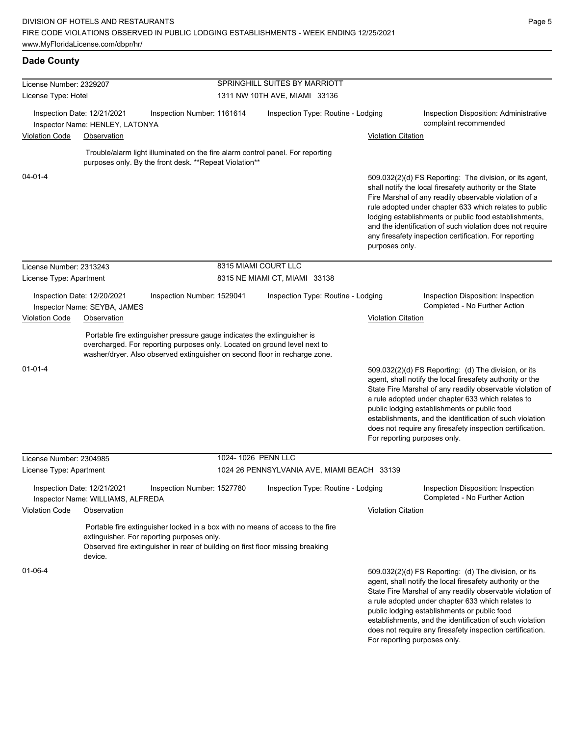| License Number: 2329207 |                                                                                                                                                                                                                                    |                            | SPRINGHILL SUITES BY MARRIOTT               |                           |                                                                                                                                                                                                                                                                                                                                                                                                                                              |  |  |  |
|-------------------------|------------------------------------------------------------------------------------------------------------------------------------------------------------------------------------------------------------------------------------|----------------------------|---------------------------------------------|---------------------------|----------------------------------------------------------------------------------------------------------------------------------------------------------------------------------------------------------------------------------------------------------------------------------------------------------------------------------------------------------------------------------------------------------------------------------------------|--|--|--|
| License Type: Hotel     |                                                                                                                                                                                                                                    |                            | 1311 NW 10TH AVE, MIAMI 33136               |                           |                                                                                                                                                                                                                                                                                                                                                                                                                                              |  |  |  |
|                         | Inspection Date: 12/21/2021<br>Inspector Name: HENLEY, LATONYA                                                                                                                                                                     | Inspection Number: 1161614 | Inspection Type: Routine - Lodging          |                           | Inspection Disposition: Administrative<br>complaint recommended                                                                                                                                                                                                                                                                                                                                                                              |  |  |  |
| <b>Violation Code</b>   | Observation                                                                                                                                                                                                                        |                            |                                             | Violation Citation        |                                                                                                                                                                                                                                                                                                                                                                                                                                              |  |  |  |
|                         | Trouble/alarm light illuminated on the fire alarm control panel. For reporting<br>purposes only. By the front desk. **Repeat Violation**                                                                                           |                            |                                             |                           |                                                                                                                                                                                                                                                                                                                                                                                                                                              |  |  |  |
| $04 - 01 - 4$           |                                                                                                                                                                                                                                    |                            |                                             | purposes only.            | 509.032(2)(d) FS Reporting: The division, or its agent,<br>shall notify the local firesafety authority or the State<br>Fire Marshal of any readily observable violation of a<br>rule adopted under chapter 633 which relates to public<br>lodging establishments or public food establishments,<br>and the identification of such violation does not require<br>any firesafety inspection certification. For reporting                       |  |  |  |
| License Number: 2313243 |                                                                                                                                                                                                                                    |                            | 8315 MIAMI COURT LLC                        |                           |                                                                                                                                                                                                                                                                                                                                                                                                                                              |  |  |  |
| License Type: Apartment |                                                                                                                                                                                                                                    |                            | 8315 NE MIAMI CT, MIAMI 33138               |                           |                                                                                                                                                                                                                                                                                                                                                                                                                                              |  |  |  |
|                         | Inspection Date: 12/20/2021<br>Inspector Name: SEYBA, JAMES                                                                                                                                                                        | Inspection Number: 1529041 | Inspection Type: Routine - Lodging          |                           | Inspection Disposition: Inspection<br>Completed - No Further Action                                                                                                                                                                                                                                                                                                                                                                          |  |  |  |
| <b>Violation Code</b>   | Observation                                                                                                                                                                                                                        |                            |                                             | <b>Violation Citation</b> |                                                                                                                                                                                                                                                                                                                                                                                                                                              |  |  |  |
| $01 - 01 - 4$           | Portable fire extinguisher pressure gauge indicates the extinguisher is<br>overcharged. For reporting purposes only. Located on ground level next to<br>washer/dryer. Also observed extinguisher on second floor in recharge zone. |                            |                                             |                           | 509.032(2)(d) FS Reporting: (d) The division, or its<br>agent, shall notify the local firesafety authority or the<br>State Fire Marshal of any readily observable violation of<br>a rule adopted under chapter 633 which relates to<br>public lodging establishments or public food<br>establishments, and the identification of such violation<br>does not require any firesafety inspection certification.<br>For reporting purposes only. |  |  |  |
| License Number: 2304985 |                                                                                                                                                                                                                                    | 1024-1026 PENN LLC         |                                             |                           |                                                                                                                                                                                                                                                                                                                                                                                                                                              |  |  |  |
| License Type: Apartment |                                                                                                                                                                                                                                    |                            | 1024 26 PENNSYLVANIA AVE, MIAMI BEACH 33139 |                           |                                                                                                                                                                                                                                                                                                                                                                                                                                              |  |  |  |
|                         | Inspection Date: 12/21/2021<br>Inspector Name: WILLIAMS, ALFREDA                                                                                                                                                                   | Inspection Number: 1527780 | Inspection Type: Routine - Lodging          |                           | Inspection Disposition: Inspection<br>Completed - No Further Action                                                                                                                                                                                                                                                                                                                                                                          |  |  |  |
| <b>Violation Code</b>   | Observation                                                                                                                                                                                                                        |                            |                                             | <b>Violation Citation</b> |                                                                                                                                                                                                                                                                                                                                                                                                                                              |  |  |  |
|                         | Portable fire extinguisher locked in a box with no means of access to the fire<br>extinguisher. For reporting purposes only.<br>Observed fire extinguisher in rear of building on first floor missing breaking<br>device.          |                            |                                             |                           |                                                                                                                                                                                                                                                                                                                                                                                                                                              |  |  |  |
| 01-06-4                 |                                                                                                                                                                                                                                    |                            |                                             |                           | 509.032(2)(d) FS Reporting: (d) The division, or its<br>agent, shall notify the local firesafety authority or the<br>State Fire Marshal of any readily observable violation of<br>a rule adopted under chapter 633 which relates to<br>public lodging establishments or public food<br>establishments, and the identification of such violation                                                                                              |  |  |  |

does not require any firesafety inspection certification.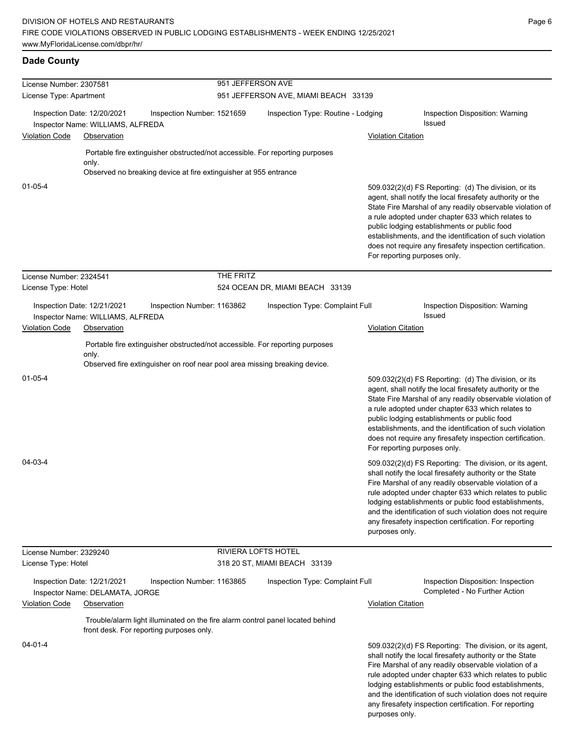| License Number: 2307581<br>License Type: Apartment |                                                                               |                                                                                                                                                            | 951 JEFFERSON AVE          |                                      |                              |                                                                                                                                                                                                                                                                                                                                                                                                                        |  |
|----------------------------------------------------|-------------------------------------------------------------------------------|------------------------------------------------------------------------------------------------------------------------------------------------------------|----------------------------|--------------------------------------|------------------------------|------------------------------------------------------------------------------------------------------------------------------------------------------------------------------------------------------------------------------------------------------------------------------------------------------------------------------------------------------------------------------------------------------------------------|--|
|                                                    |                                                                               |                                                                                                                                                            |                            | 951 JEFFERSON AVE, MIAMI BEACH 33139 |                              |                                                                                                                                                                                                                                                                                                                                                                                                                        |  |
|                                                    | Inspection Date: 12/20/2021<br>Inspector Name: WILLIAMS, ALFREDA              | Inspection Number: 1521659                                                                                                                                 |                            | Inspection Type: Routine - Lodging   |                              | Inspection Disposition: Warning<br><b>Issued</b>                                                                                                                                                                                                                                                                                                                                                                       |  |
| <b>Violation Code</b>                              | Observation                                                                   |                                                                                                                                                            |                            |                                      | <b>Violation Citation</b>    |                                                                                                                                                                                                                                                                                                                                                                                                                        |  |
|                                                    | only.                                                                         | Portable fire extinguisher obstructed/not accessible. For reporting purposes                                                                               |                            |                                      |                              |                                                                                                                                                                                                                                                                                                                                                                                                                        |  |
|                                                    |                                                                               | Observed no breaking device at fire extinguisher at 955 entrance                                                                                           |                            |                                      |                              |                                                                                                                                                                                                                                                                                                                                                                                                                        |  |
| $01 - 05 - 4$                                      |                                                                               |                                                                                                                                                            |                            |                                      | For reporting purposes only. | 509.032(2)(d) FS Reporting: (d) The division, or its<br>agent, shall notify the local firesafety authority or the<br>State Fire Marshal of any readily observable violation of<br>a rule adopted under chapter 633 which relates to<br>public lodging establishments or public food<br>establishments, and the identification of such violation<br>does not require any firesafety inspection certification.           |  |
| License Number: 2324541                            |                                                                               |                                                                                                                                                            | THE FRITZ                  |                                      |                              |                                                                                                                                                                                                                                                                                                                                                                                                                        |  |
| License Type: Hotel                                |                                                                               |                                                                                                                                                            |                            | 524 OCEAN DR, MIAMI BEACH 33139      |                              |                                                                                                                                                                                                                                                                                                                                                                                                                        |  |
|                                                    | Inspection Date: 12/21/2021<br>Inspector Name: WILLIAMS, ALFREDA              | Inspection Number: 1163862                                                                                                                                 |                            | Inspection Type: Complaint Full      |                              | Inspection Disposition: Warning<br><b>Issued</b>                                                                                                                                                                                                                                                                                                                                                                       |  |
| <b>Violation Code</b>                              | Observation                                                                   |                                                                                                                                                            |                            |                                      | <b>Violation Citation</b>    |                                                                                                                                                                                                                                                                                                                                                                                                                        |  |
|                                                    | only.                                                                         | Portable fire extinguisher obstructed/not accessible. For reporting purposes<br>Observed fire extinguisher on roof near pool area missing breaking device. |                            |                                      |                              |                                                                                                                                                                                                                                                                                                                                                                                                                        |  |
| $01 - 05 - 4$                                      |                                                                               |                                                                                                                                                            |                            |                                      | For reporting purposes only. | 509.032(2)(d) FS Reporting: (d) The division, or its<br>agent, shall notify the local firesafety authority or the<br>State Fire Marshal of any readily observable violation of<br>a rule adopted under chapter 633 which relates to<br>public lodging establishments or public food<br>establishments, and the identification of such violation<br>does not require any firesafety inspection certification.           |  |
| 04-03-4                                            |                                                                               |                                                                                                                                                            |                            |                                      | purposes only.               | 509.032(2)(d) FS Reporting: The division, or its agent,<br>shall notify the local firesafety authority or the State<br>Fire Marshal of any readily observable violation of a<br>rule adopted under chapter 633 which relates to public<br>lodging establishments or public food establishments,<br>and the identification of such violation does not require<br>any firesafety inspection certification. For reporting |  |
| License Number: 2329240                            |                                                                               |                                                                                                                                                            | <b>RIVIERA LOFTS HOTEL</b> |                                      |                              |                                                                                                                                                                                                                                                                                                                                                                                                                        |  |
| License Type: Hotel                                |                                                                               |                                                                                                                                                            |                            | 318 20 ST, MIAMI BEACH 33139         |                              |                                                                                                                                                                                                                                                                                                                                                                                                                        |  |
| <b>Violation Code</b>                              | Inspection Date: 12/21/2021<br>Inspector Name: DELAMATA, JORGE<br>Observation | Inspection Number: 1163865                                                                                                                                 |                            | Inspection Type: Complaint Full      | <b>Violation Citation</b>    | Inspection Disposition: Inspection<br>Completed - No Further Action                                                                                                                                                                                                                                                                                                                                                    |  |
|                                                    |                                                                               | Trouble/alarm light illuminated on the fire alarm control panel located behind<br>front desk. For reporting purposes only.                                 |                            |                                      |                              |                                                                                                                                                                                                                                                                                                                                                                                                                        |  |
| 04-01-4                                            |                                                                               |                                                                                                                                                            |                            |                                      |                              | 509.032(2)(d) FS Reporting: The division, or its agent,<br>shall notify the local firesafety authority or the State<br>Fire Marshal of any readily observable violation of a<br>rule adopted under chapter 633 which relates to public<br>lodging establishments or public food establishments,<br>and the identification of such violation does not require<br>any firesafety inspection certification. For reporting |  |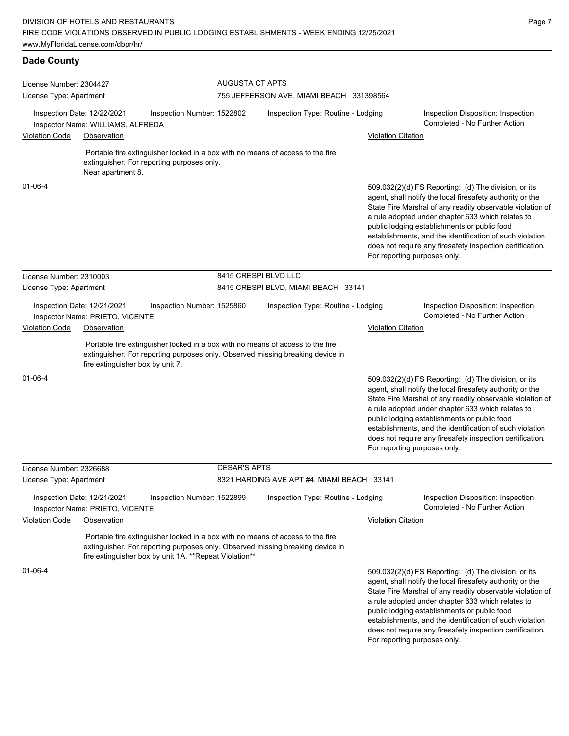| License Number: 2304427 |                                                                  |                                                         | AUGUSTA CT APTS                          |                                                                                                                                                                  |                           |                                                                                                                                                                                                                                                                                                                                                                                                                                              |  |  |
|-------------------------|------------------------------------------------------------------|---------------------------------------------------------|------------------------------------------|------------------------------------------------------------------------------------------------------------------------------------------------------------------|---------------------------|----------------------------------------------------------------------------------------------------------------------------------------------------------------------------------------------------------------------------------------------------------------------------------------------------------------------------------------------------------------------------------------------------------------------------------------------|--|--|
| License Type: Apartment |                                                                  |                                                         | 755 JEFFERSON AVE, MIAMI BEACH 331398564 |                                                                                                                                                                  |                           |                                                                                                                                                                                                                                                                                                                                                                                                                                              |  |  |
|                         | Inspection Date: 12/22/2021<br>Inspector Name: WILLIAMS, ALFREDA | Inspection Number: 1522802                              |                                          | Inspection Type: Routine - Lodging                                                                                                                               |                           | Inspection Disposition: Inspection<br>Completed - No Further Action                                                                                                                                                                                                                                                                                                                                                                          |  |  |
| <b>Violation Code</b>   | Observation                                                      |                                                         |                                          |                                                                                                                                                                  | <b>Violation Citation</b> |                                                                                                                                                                                                                                                                                                                                                                                                                                              |  |  |
|                         | Near apartment 8.                                                | extinguisher. For reporting purposes only.              |                                          | Portable fire extinguisher locked in a box with no means of access to the fire                                                                                   |                           |                                                                                                                                                                                                                                                                                                                                                                                                                                              |  |  |
| 01-06-4                 |                                                                  |                                                         |                                          |                                                                                                                                                                  |                           | 509.032(2)(d) FS Reporting: (d) The division, or its<br>agent, shall notify the local firesafety authority or the<br>State Fire Marshal of any readily observable violation of<br>a rule adopted under chapter 633 which relates to<br>public lodging establishments or public food<br>establishments, and the identification of such violation<br>does not require any firesafety inspection certification.<br>For reporting purposes only. |  |  |
| License Number: 2310003 |                                                                  |                                                         |                                          | 8415 CRESPI BLVD LLC                                                                                                                                             |                           |                                                                                                                                                                                                                                                                                                                                                                                                                                              |  |  |
| License Type: Apartment |                                                                  |                                                         |                                          | 8415 CRESPI BLVD, MIAMI BEACH 33141                                                                                                                              |                           |                                                                                                                                                                                                                                                                                                                                                                                                                                              |  |  |
|                         | Inspection Date: 12/21/2021<br>Inspector Name: PRIETO, VICENTE   | Inspection Number: 1525860                              |                                          | Inspection Type: Routine - Lodging                                                                                                                               |                           | Inspection Disposition: Inspection<br>Completed - No Further Action                                                                                                                                                                                                                                                                                                                                                                          |  |  |
| <b>Violation Code</b>   | Observation                                                      |                                                         |                                          |                                                                                                                                                                  | <b>Violation Citation</b> |                                                                                                                                                                                                                                                                                                                                                                                                                                              |  |  |
|                         | fire extinguisher box by unit 7.                                 |                                                         |                                          | Portable fire extinguisher locked in a box with no means of access to the fire<br>extinguisher. For reporting purposes only. Observed missing breaking device in |                           |                                                                                                                                                                                                                                                                                                                                                                                                                                              |  |  |
| $01 - 06 - 4$           |                                                                  |                                                         |                                          |                                                                                                                                                                  |                           | 509.032(2)(d) FS Reporting: (d) The division, or its<br>agent, shall notify the local firesafety authority or the<br>State Fire Marshal of any readily observable violation of<br>a rule adopted under chapter 633 which relates to<br>public lodging establishments or public food<br>establishments, and the identification of such violation<br>does not require any firesafety inspection certification.<br>For reporting purposes only. |  |  |
| License Number: 2326688 |                                                                  |                                                         | <b>CESAR'S APTS</b>                      |                                                                                                                                                                  |                           |                                                                                                                                                                                                                                                                                                                                                                                                                                              |  |  |
| License Type: Apartment |                                                                  |                                                         |                                          | 8321 HARDING AVE APT #4, MIAMI BEACH 33141                                                                                                                       |                           |                                                                                                                                                                                                                                                                                                                                                                                                                                              |  |  |
|                         | Inspection Date: 12/21/2021<br>Inspector Name: PRIETO, VICENTE   | Inspection Number: 1522899                              |                                          | Inspection Type: Routine - Lodging                                                                                                                               |                           | Inspection Disposition: Inspection<br>Completed - No Further Action                                                                                                                                                                                                                                                                                                                                                                          |  |  |
| <b>Violation Code</b>   | Observation                                                      |                                                         |                                          |                                                                                                                                                                  | <b>Violation Citation</b> |                                                                                                                                                                                                                                                                                                                                                                                                                                              |  |  |
|                         |                                                                  | fire extinguisher box by unit 1A. ** Repeat Violation** |                                          | Portable fire extinguisher locked in a box with no means of access to the fire<br>extinguisher. For reporting purposes only. Observed missing breaking device in |                           |                                                                                                                                                                                                                                                                                                                                                                                                                                              |  |  |
| $01 - 06 - 4$           |                                                                  |                                                         |                                          |                                                                                                                                                                  |                           | 509.032(2)(d) FS Reporting: (d) The division, or its<br>agent, shall notify the local firesafety authority or the<br>State Fire Marshal of any readily observable violation of<br>a rule adopted under chapter 633 which relates to<br>public lodging establishments or public food<br>establishments, and the identification of such violation<br>does not require any firesafety inspection certification.<br>For reporting purposes only. |  |  |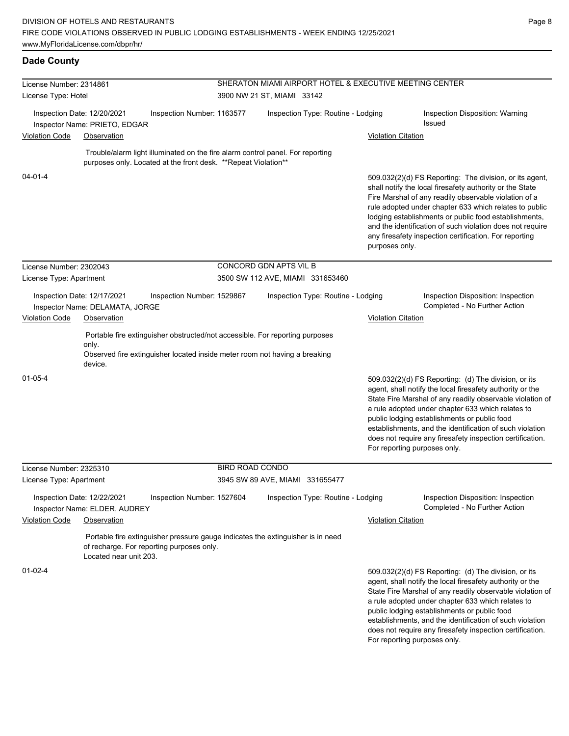| License Number: 2314861 |                                                                                                                                                                                |                        | SHERATON MIAMI AIRPORT HOTEL & EXECUTIVE MEETING CENTER<br>3900 NW 21 ST, MIAMI 33142 |                           |                                                                                                                                                                                                                                                                                                                                                                                                                                              |  |  |  |
|-------------------------|--------------------------------------------------------------------------------------------------------------------------------------------------------------------------------|------------------------|---------------------------------------------------------------------------------------|---------------------------|----------------------------------------------------------------------------------------------------------------------------------------------------------------------------------------------------------------------------------------------------------------------------------------------------------------------------------------------------------------------------------------------------------------------------------------------|--|--|--|
| License Type: Hotel     |                                                                                                                                                                                |                        |                                                                                       |                           |                                                                                                                                                                                                                                                                                                                                                                                                                                              |  |  |  |
|                         | Inspection Date: 12/20/2021<br>Inspection Number: 1163577<br>Inspector Name: PRIETO, EDGAR                                                                                     |                        | Inspection Type: Routine - Lodging                                                    |                           | Inspection Disposition: Warning<br><b>Issued</b>                                                                                                                                                                                                                                                                                                                                                                                             |  |  |  |
| <b>Violation Code</b>   | Observation                                                                                                                                                                    |                        |                                                                                       | <b>Violation Citation</b> |                                                                                                                                                                                                                                                                                                                                                                                                                                              |  |  |  |
|                         | Trouble/alarm light illuminated on the fire alarm control panel. For reporting<br>purposes only. Located at the front desk. **Repeat Violation**                               |                        |                                                                                       |                           |                                                                                                                                                                                                                                                                                                                                                                                                                                              |  |  |  |
| $04 - 01 - 4$           |                                                                                                                                                                                |                        |                                                                                       | purposes only.            | 509.032(2)(d) FS Reporting: The division, or its agent,<br>shall notify the local firesafety authority or the State<br>Fire Marshal of any readily observable violation of a<br>rule adopted under chapter 633 which relates to public<br>lodging establishments or public food establishments,<br>and the identification of such violation does not require<br>any firesafety inspection certification. For reporting                       |  |  |  |
| License Number: 2302043 |                                                                                                                                                                                |                        | CONCORD GDN APTS VIL B                                                                |                           |                                                                                                                                                                                                                                                                                                                                                                                                                                              |  |  |  |
| License Type: Apartment |                                                                                                                                                                                |                        | 3500 SW 112 AVE, MIAMI 331653460                                                      |                           |                                                                                                                                                                                                                                                                                                                                                                                                                                              |  |  |  |
|                         | Inspection Date: 12/17/2021<br>Inspection Number: 1529867<br>Inspector Name: DELAMATA, JORGE                                                                                   |                        | Inspection Type: Routine - Lodging                                                    |                           | Inspection Disposition: Inspection<br>Completed - No Further Action                                                                                                                                                                                                                                                                                                                                                                          |  |  |  |
| <b>Violation Code</b>   | Observation                                                                                                                                                                    |                        |                                                                                       | <b>Violation Citation</b> |                                                                                                                                                                                                                                                                                                                                                                                                                                              |  |  |  |
|                         | Portable fire extinguisher obstructed/not accessible. For reporting purposes<br>only.<br>Observed fire extinguisher located inside meter room not having a breaking<br>device. |                        |                                                                                       |                           |                                                                                                                                                                                                                                                                                                                                                                                                                                              |  |  |  |
| $01 - 05 - 4$           |                                                                                                                                                                                |                        |                                                                                       |                           | 509.032(2)(d) FS Reporting: (d) The division, or its<br>agent, shall notify the local firesafety authority or the<br>State Fire Marshal of any readily observable violation of<br>a rule adopted under chapter 633 which relates to<br>public lodging establishments or public food<br>establishments, and the identification of such violation<br>does not require any firesafety inspection certification.<br>For reporting purposes only. |  |  |  |
| License Number: 2325310 |                                                                                                                                                                                | <b>BIRD ROAD CONDO</b> |                                                                                       |                           |                                                                                                                                                                                                                                                                                                                                                                                                                                              |  |  |  |
| License Type: Apartment |                                                                                                                                                                                |                        | 3945 SW 89 AVE, MIAMI 331655477                                                       |                           |                                                                                                                                                                                                                                                                                                                                                                                                                                              |  |  |  |
|                         | Inspection Date: 12/22/2021<br>Inspection Number: 1527604<br>Inspector Name: ELDER, AUDREY                                                                                     |                        | Inspection Type: Routine - Lodging                                                    |                           | Inspection Disposition: Inspection<br>Completed - No Further Action                                                                                                                                                                                                                                                                                                                                                                          |  |  |  |
| <b>Violation Code</b>   | Observation                                                                                                                                                                    |                        |                                                                                       | <b>Violation Citation</b> |                                                                                                                                                                                                                                                                                                                                                                                                                                              |  |  |  |
|                         | Portable fire extinguisher pressure gauge indicates the extinguisher is in need<br>of recharge. For reporting purposes only.<br>Located near unit 203.                         |                        |                                                                                       |                           |                                                                                                                                                                                                                                                                                                                                                                                                                                              |  |  |  |
| $01 - 02 - 4$           |                                                                                                                                                                                |                        |                                                                                       |                           | 509.032(2)(d) FS Reporting: (d) The division, or its<br>agent, shall notify the local firesafety authority or the<br>State Fire Marshal of any readily observable violation of<br>a rule adopted under chapter 633 which relates to<br>public lodging establishments or public food<br>establishments, and the identification of such violation<br>does not require any firesafety inspection certification.                                 |  |  |  |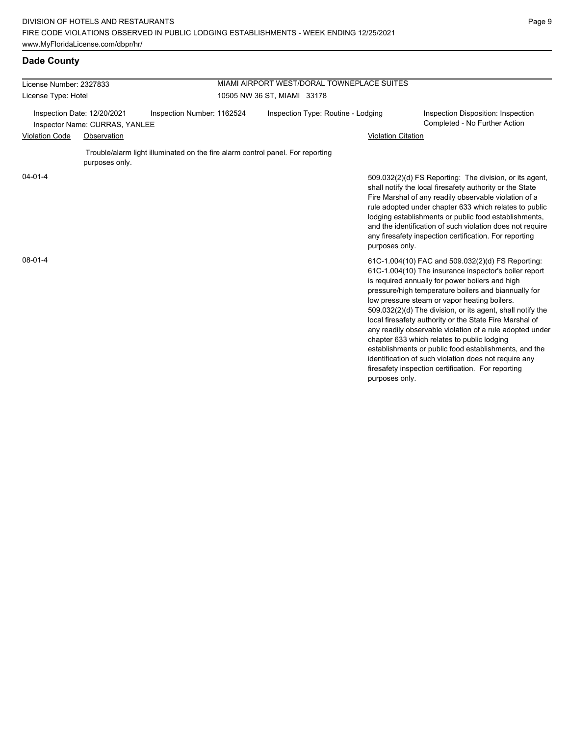| License Number: 2327833                                       |                |                                                                                | MIAMI AIRPORT WEST/DORAL TOWNEPLACE SUITES |                           |                                                                                                                                                                                                                                                                                                                                                                                                                                                                                                                                                                                                                                                                                   |  |  |
|---------------------------------------------------------------|----------------|--------------------------------------------------------------------------------|--------------------------------------------|---------------------------|-----------------------------------------------------------------------------------------------------------------------------------------------------------------------------------------------------------------------------------------------------------------------------------------------------------------------------------------------------------------------------------------------------------------------------------------------------------------------------------------------------------------------------------------------------------------------------------------------------------------------------------------------------------------------------------|--|--|
| License Type: Hotel                                           |                |                                                                                | 10505 NW 36 ST, MIAMI 33178                |                           |                                                                                                                                                                                                                                                                                                                                                                                                                                                                                                                                                                                                                                                                                   |  |  |
| Inspection Date: 12/20/2021<br>Inspector Name: CURRAS, YANLEE |                | Inspection Number: 1162524                                                     | Inspection Type: Routine - Lodging         |                           | Inspection Disposition: Inspection<br>Completed - No Further Action                                                                                                                                                                                                                                                                                                                                                                                                                                                                                                                                                                                                               |  |  |
| <b>Violation Code</b>                                         | Observation    |                                                                                |                                            | <b>Violation Citation</b> |                                                                                                                                                                                                                                                                                                                                                                                                                                                                                                                                                                                                                                                                                   |  |  |
|                                                               | purposes only. | Trouble/alarm light illuminated on the fire alarm control panel. For reporting |                                            |                           |                                                                                                                                                                                                                                                                                                                                                                                                                                                                                                                                                                                                                                                                                   |  |  |
| $04 - 01 - 4$                                                 |                |                                                                                |                                            | purposes only.            | 509.032(2)(d) FS Reporting: The division, or its agent,<br>shall notify the local firesafety authority or the State<br>Fire Marshal of any readily observable violation of a<br>rule adopted under chapter 633 which relates to public<br>lodging establishments or public food establishments,<br>and the identification of such violation does not require<br>any firesafety inspection certification. For reporting                                                                                                                                                                                                                                                            |  |  |
| $08 - 01 - 4$                                                 |                |                                                                                |                                            | purposes only.            | 61C-1.004(10) FAC and 509.032(2)(d) FS Reporting:<br>61C-1.004(10) The insurance inspector's boiler report<br>is required annually for power boilers and high<br>pressure/high temperature boilers and biannually for<br>low pressure steam or vapor heating boilers.<br>509.032(2)(d) The division, or its agent, shall notify the<br>local firesafety authority or the State Fire Marshal of<br>any readily observable violation of a rule adopted under<br>chapter 633 which relates to public lodging<br>establishments or public food establishments, and the<br>identification of such violation does not require any<br>firesafety inspection certification. For reporting |  |  |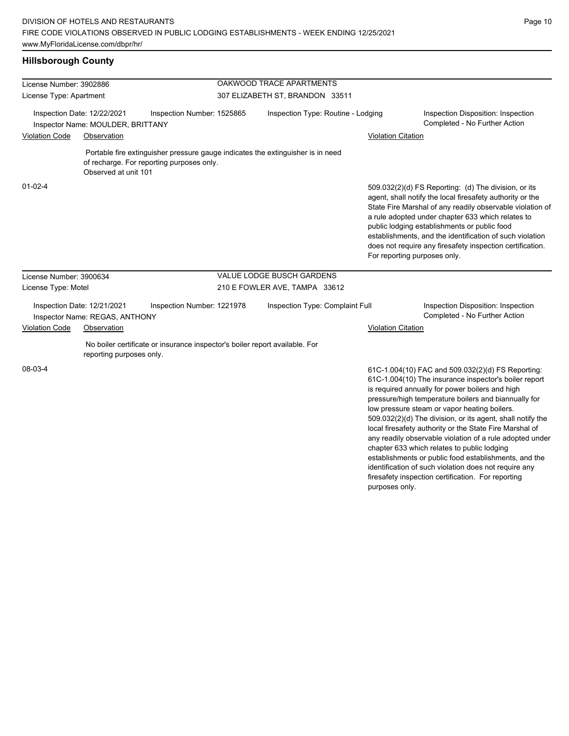## **Hillsborough County**

| License Number: 3902886              |                                                                  |                                                                             | OAKWOOD TRACE APARTMENTS         |                                                                                 |                              |                                                                                                                                                                                                                                                                                                                                                                                                                                                                                                                                                                                                                                                                                   |  |
|--------------------------------------|------------------------------------------------------------------|-----------------------------------------------------------------------------|----------------------------------|---------------------------------------------------------------------------------|------------------------------|-----------------------------------------------------------------------------------------------------------------------------------------------------------------------------------------------------------------------------------------------------------------------------------------------------------------------------------------------------------------------------------------------------------------------------------------------------------------------------------------------------------------------------------------------------------------------------------------------------------------------------------------------------------------------------------|--|
| License Type: Apartment              |                                                                  |                                                                             |                                  | 307 ELIZABETH ST, BRANDON 33511                                                 |                              |                                                                                                                                                                                                                                                                                                                                                                                                                                                                                                                                                                                                                                                                                   |  |
|                                      | Inspection Date: 12/22/2021<br>Inspector Name: MOULDER, BRITTANY | Inspection Number: 1525865                                                  |                                  | Inspection Type: Routine - Lodging                                              |                              | Inspection Disposition: Inspection<br>Completed - No Further Action                                                                                                                                                                                                                                                                                                                                                                                                                                                                                                                                                                                                               |  |
| <b>Violation Code</b><br>Observation |                                                                  |                                                                             |                                  |                                                                                 | <b>Violation Citation</b>    |                                                                                                                                                                                                                                                                                                                                                                                                                                                                                                                                                                                                                                                                                   |  |
|                                      | Observed at unit 101                                             | of recharge. For reporting purposes only.                                   |                                  | Portable fire extinguisher pressure gauge indicates the extinguisher is in need |                              |                                                                                                                                                                                                                                                                                                                                                                                                                                                                                                                                                                                                                                                                                   |  |
| $01 - 02 - 4$                        |                                                                  |                                                                             |                                  |                                                                                 | For reporting purposes only. | 509.032(2)(d) FS Reporting: (d) The division, or its<br>agent, shall notify the local firesafety authority or the<br>State Fire Marshal of any readily observable violation of<br>a rule adopted under chapter 633 which relates to<br>public lodging establishments or public food<br>establishments, and the identification of such violation<br>does not require any firesafety inspection certification.                                                                                                                                                                                                                                                                      |  |
| License Number: 3900634              |                                                                  |                                                                             | <b>VALUE LODGE BUSCH GARDENS</b> |                                                                                 |                              |                                                                                                                                                                                                                                                                                                                                                                                                                                                                                                                                                                                                                                                                                   |  |
| License Type: Motel                  |                                                                  |                                                                             |                                  | 210 E FOWLER AVE, TAMPA 33612                                                   |                              |                                                                                                                                                                                                                                                                                                                                                                                                                                                                                                                                                                                                                                                                                   |  |
|                                      | Inspection Date: 12/21/2021<br>Inspector Name: REGAS, ANTHONY    | Inspection Number: 1221978                                                  |                                  | Inspection Type: Complaint Full                                                 |                              | Inspection Disposition: Inspection<br>Completed - No Further Action                                                                                                                                                                                                                                                                                                                                                                                                                                                                                                                                                                                                               |  |
| <b>Violation Code</b>                | Observation                                                      |                                                                             |                                  |                                                                                 | <b>Violation Citation</b>    |                                                                                                                                                                                                                                                                                                                                                                                                                                                                                                                                                                                                                                                                                   |  |
|                                      | reporting purposes only.                                         | No boiler certificate or insurance inspector's boiler report available. For |                                  |                                                                                 |                              |                                                                                                                                                                                                                                                                                                                                                                                                                                                                                                                                                                                                                                                                                   |  |
| 08-03-4                              |                                                                  |                                                                             |                                  |                                                                                 |                              | 61C-1.004(10) FAC and 509.032(2)(d) FS Reporting:<br>61C-1.004(10) The insurance inspector's boiler report<br>is required annually for power boilers and high<br>pressure/high temperature boilers and biannually for<br>low pressure steam or vapor heating boilers.<br>509.032(2)(d) The division, or its agent, shall notify the<br>local firesafety authority or the State Fire Marshal of<br>any readily observable violation of a rule adopted under<br>chapter 633 which relates to public lodging<br>establishments or public food establishments, and the<br>identification of such violation does not require any<br>firesafety inspection certification. For reporting |  |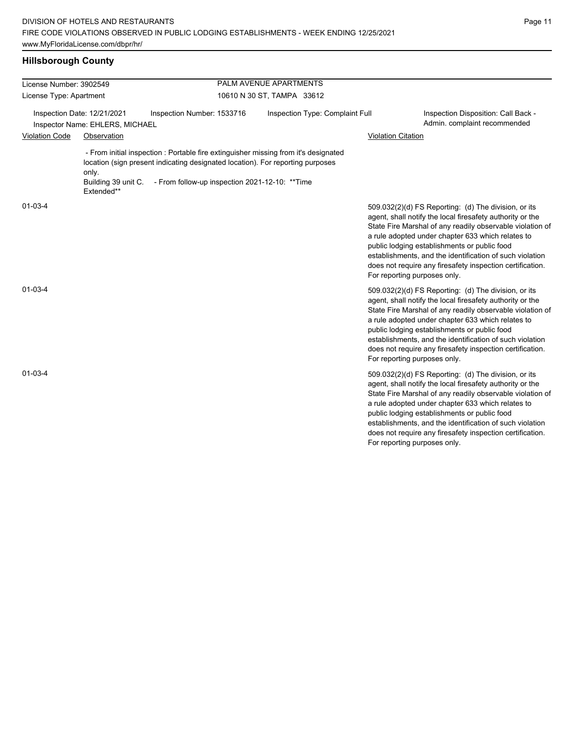## **Hillsborough County**

| License Number: 3902549                                        |             |                                                                                                                                                                                                                                              | PALM AVENUE APARTMENTS          |                           |                                                                                                                                                                                                                                                                                                                                                                                                                                              |
|----------------------------------------------------------------|-------------|----------------------------------------------------------------------------------------------------------------------------------------------------------------------------------------------------------------------------------------------|---------------------------------|---------------------------|----------------------------------------------------------------------------------------------------------------------------------------------------------------------------------------------------------------------------------------------------------------------------------------------------------------------------------------------------------------------------------------------------------------------------------------------|
| License Type: Apartment                                        |             |                                                                                                                                                                                                                                              | 10610 N 30 ST, TAMPA 33612      |                           |                                                                                                                                                                                                                                                                                                                                                                                                                                              |
| Inspection Date: 12/21/2021<br>Inspector Name: EHLERS, MICHAEL |             | Inspection Number: 1533716                                                                                                                                                                                                                   | Inspection Type: Complaint Full |                           | Inspection Disposition: Call Back -<br>Admin. complaint recommended                                                                                                                                                                                                                                                                                                                                                                          |
| <b>Violation Code</b>                                          | Observation |                                                                                                                                                                                                                                              |                                 | <b>Violation Citation</b> |                                                                                                                                                                                                                                                                                                                                                                                                                                              |
|                                                                | only.       | - From initial inspection : Portable fire extinguisher missing from it's designated<br>location (sign present indicating designated location). For reporting purposes<br>Building 39 unit C. - From follow-up inspection 2021-12-10: ** Time |                                 |                           |                                                                                                                                                                                                                                                                                                                                                                                                                                              |
| $01 - 03 - 4$                                                  | Extended**  |                                                                                                                                                                                                                                              |                                 |                           | 509.032(2)(d) FS Reporting: (d) The division, or its<br>agent, shall notify the local firesafety authority or the<br>State Fire Marshal of any readily observable violation of<br>a rule adopted under chapter 633 which relates to<br>public lodging establishments or public food<br>establishments, and the identification of such violation<br>does not require any firesafety inspection certification.<br>For reporting purposes only. |
| $01 - 03 - 4$                                                  |             |                                                                                                                                                                                                                                              |                                 |                           | 509.032(2)(d) FS Reporting: (d) The division, or its<br>agent, shall notify the local firesafety authority or the<br>State Fire Marshal of any readily observable violation of<br>a rule adopted under chapter 633 which relates to<br>public lodging establishments or public food<br>establishments, and the identification of such violation<br>does not require any firesafety inspection certification.<br>For reporting purposes only. |
| $01 - 03 - 4$                                                  |             |                                                                                                                                                                                                                                              |                                 |                           | 509.032(2)(d) FS Reporting: (d) The division, or its<br>agent, shall notify the local firesafety authority or the<br>State Fire Marshal of any readily observable violation of<br>a rule adopted under chapter 633 which relates to<br>public lodging establishments or public food<br>establishments, and the identification of such violation<br>does not require any firesafety inspection certification.<br>For reporting purposes only. |
|                                                                |             |                                                                                                                                                                                                                                              |                                 |                           |                                                                                                                                                                                                                                                                                                                                                                                                                                              |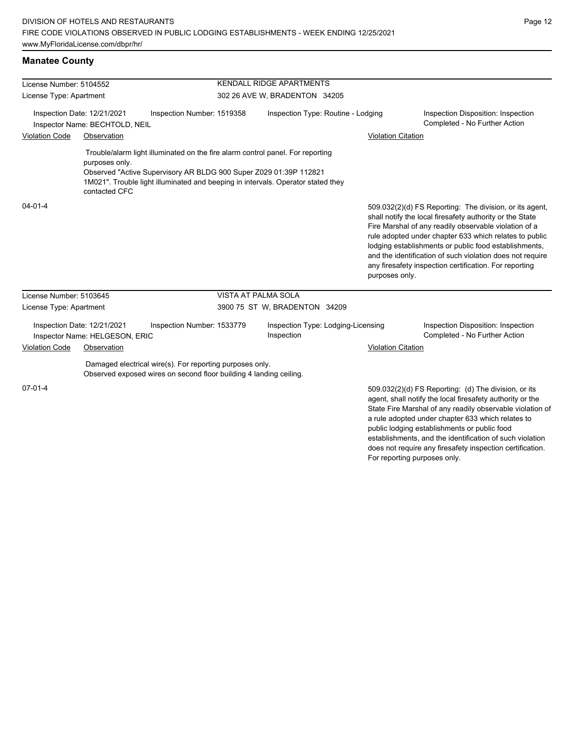| License Number: 5104552                                                                     |                                                               |                                                                                                                                                                                                                                         | <b>KENDALL RIDGE APARTMENTS</b> |                                    |                           |                                                                                                                                                                                                                                                                                                                                                                                                                        |
|---------------------------------------------------------------------------------------------|---------------------------------------------------------------|-----------------------------------------------------------------------------------------------------------------------------------------------------------------------------------------------------------------------------------------|---------------------------------|------------------------------------|---------------------------|------------------------------------------------------------------------------------------------------------------------------------------------------------------------------------------------------------------------------------------------------------------------------------------------------------------------------------------------------------------------------------------------------------------------|
| License Type: Apartment                                                                     |                                                               |                                                                                                                                                                                                                                         |                                 | 302 26 AVE W, BRADENTON 34205      |                           |                                                                                                                                                                                                                                                                                                                                                                                                                        |
| Inspection Date: 12/21/2021<br>Inspection Number: 1519358<br>Inspector Name: BECHTOLD, NEIL |                                                               |                                                                                                                                                                                                                                         |                                 | Inspection Type: Routine - Lodging |                           | Inspection Disposition: Inspection<br>Completed - No Further Action                                                                                                                                                                                                                                                                                                                                                    |
| <b>Violation Code</b>                                                                       | Observation                                                   |                                                                                                                                                                                                                                         |                                 |                                    | <b>Violation Citation</b> |                                                                                                                                                                                                                                                                                                                                                                                                                        |
|                                                                                             | purposes only.<br>contacted CFC                               | Trouble/alarm light illuminated on the fire alarm control panel. For reporting<br>Observed "Active Supervisory AR BLDG 900 Super Z029 01:39P 112821<br>1M021". Trouble light illuminated and beeping in intervals. Operator stated they |                                 |                                    |                           |                                                                                                                                                                                                                                                                                                                                                                                                                        |
| $04 - 01 - 4$                                                                               |                                                               |                                                                                                                                                                                                                                         |                                 |                                    | purposes only.            | 509.032(2)(d) FS Reporting: The division, or its agent,<br>shall notify the local firesafety authority or the State<br>Fire Marshal of any readily observable violation of a<br>rule adopted under chapter 633 which relates to public<br>lodging establishments or public food establishments,<br>and the identification of such violation does not require<br>any firesafety inspection certification. For reporting |
| License Number: 5103645                                                                     |                                                               |                                                                                                                                                                                                                                         | VISTA AT PALMA SOLA             |                                    |                           |                                                                                                                                                                                                                                                                                                                                                                                                                        |
| License Type: Apartment                                                                     |                                                               |                                                                                                                                                                                                                                         |                                 | 3900 75 ST W, BRADENTON 34209      |                           |                                                                                                                                                                                                                                                                                                                                                                                                                        |
|                                                                                             | Inspection Date: 12/21/2021<br>Inspector Name: HELGESON, ERIC | Inspection Number: 1533779                                                                                                                                                                                                              | Inspection                      | Inspection Type: Lodging-Licensing |                           | Inspection Disposition: Inspection<br>Completed - No Further Action                                                                                                                                                                                                                                                                                                                                                    |
| <b>Violation Code</b>                                                                       | Observation                                                   |                                                                                                                                                                                                                                         |                                 |                                    | <b>Violation Citation</b> |                                                                                                                                                                                                                                                                                                                                                                                                                        |
|                                                                                             |                                                               | Damaged electrical wire(s). For reporting purposes only.<br>Observed exposed wires on second floor building 4 landing ceiling.                                                                                                          |                                 |                                    |                           |                                                                                                                                                                                                                                                                                                                                                                                                                        |
| 07-01-4                                                                                     |                                                               |                                                                                                                                                                                                                                         |                                 |                                    |                           | 509.032(2)(d) FS Reporting: (d) The division, or its<br>agent, shall notify the local firesafety authority or the<br>State Fire Marshal of any readily observable violation of<br>a rule adopted under chapter 633 which relates to                                                                                                                                                                                    |

public lodging establishments or public food

For reporting purposes only.

establishments, and the identification of such violation does not require any firesafety inspection certification.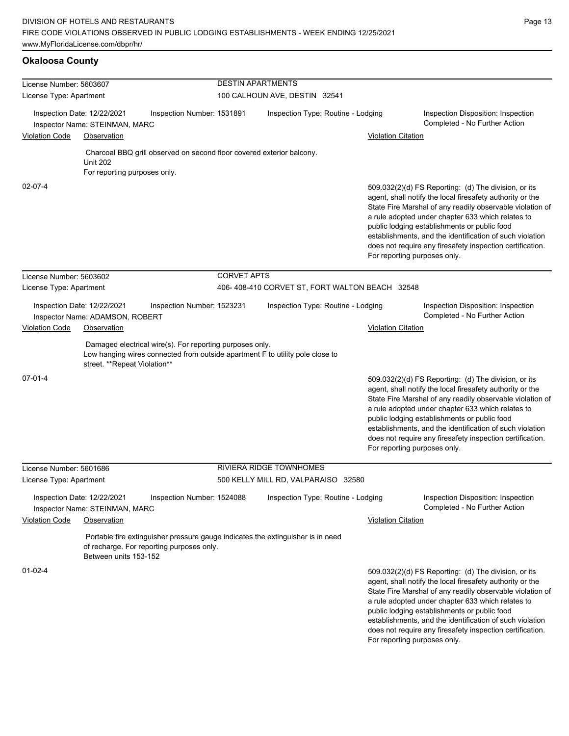## **Okaloosa County**

| License Number: 5603607 |                                                                | <b>DESTIN APARTMENTS</b>                                              |                    |                                                                                 |                           |                                                                                                                                                                                                                                                                                                                                                                                                                                              |  |
|-------------------------|----------------------------------------------------------------|-----------------------------------------------------------------------|--------------------|---------------------------------------------------------------------------------|---------------------------|----------------------------------------------------------------------------------------------------------------------------------------------------------------------------------------------------------------------------------------------------------------------------------------------------------------------------------------------------------------------------------------------------------------------------------------------|--|
| License Type: Apartment |                                                                | 100 CALHOUN AVE, DESTIN 32541                                         |                    |                                                                                 |                           |                                                                                                                                                                                                                                                                                                                                                                                                                                              |  |
|                         | Inspection Date: 12/22/2021                                    | Inspection Number: 1531891                                            |                    | Inspection Type: Routine - Lodging                                              |                           | Inspection Disposition: Inspection<br>Completed - No Further Action                                                                                                                                                                                                                                                                                                                                                                          |  |
| <b>Violation Code</b>   | Inspector Name: STEINMAN, MARC<br>Observation                  |                                                                       |                    |                                                                                 | <b>Violation Citation</b> |                                                                                                                                                                                                                                                                                                                                                                                                                                              |  |
|                         |                                                                |                                                                       |                    |                                                                                 |                           |                                                                                                                                                                                                                                                                                                                                                                                                                                              |  |
|                         | <b>Unit 202</b><br>For reporting purposes only.                | Charcoal BBQ grill observed on second floor covered exterior balcony. |                    |                                                                                 |                           |                                                                                                                                                                                                                                                                                                                                                                                                                                              |  |
| $02 - 07 - 4$           |                                                                |                                                                       |                    |                                                                                 |                           | 509.032(2)(d) FS Reporting: (d) The division, or its<br>agent, shall notify the local firesafety authority or the<br>State Fire Marshal of any readily observable violation of<br>a rule adopted under chapter 633 which relates to<br>public lodging establishments or public food<br>establishments, and the identification of such violation<br>does not require any firesafety inspection certification.<br>For reporting purposes only. |  |
| License Number: 5603602 |                                                                |                                                                       | <b>CORVET APTS</b> |                                                                                 |                           |                                                                                                                                                                                                                                                                                                                                                                                                                                              |  |
| License Type: Apartment |                                                                |                                                                       |                    | 406-408-410 CORVET ST, FORT WALTON BEACH 32548                                  |                           |                                                                                                                                                                                                                                                                                                                                                                                                                                              |  |
|                         | Inspection Date: 12/22/2021<br>Inspector Name: ADAMSON, ROBERT | Inspection Number: 1523231                                            |                    | Inspection Type: Routine - Lodging                                              |                           | Inspection Disposition: Inspection<br>Completed - No Further Action                                                                                                                                                                                                                                                                                                                                                                          |  |
| <b>Violation Code</b>   | Observation                                                    |                                                                       |                    |                                                                                 | <b>Violation Citation</b> |                                                                                                                                                                                                                                                                                                                                                                                                                                              |  |
|                         | street. **Repeat Violation**                                   | Damaged electrical wire(s). For reporting purposes only.              |                    | Low hanging wires connected from outside apartment F to utility pole close to   |                           |                                                                                                                                                                                                                                                                                                                                                                                                                                              |  |
| $07 - 01 - 4$           |                                                                |                                                                       |                    |                                                                                 |                           | 509.032(2)(d) FS Reporting: (d) The division, or its<br>agent, shall notify the local firesafety authority or the<br>State Fire Marshal of any readily observable violation of<br>a rule adopted under chapter 633 which relates to<br>public lodging establishments or public food<br>establishments, and the identification of such violation<br>does not require any firesafety inspection certification.<br>For reporting purposes only. |  |
| License Number: 5601686 |                                                                |                                                                       |                    | RIVIERA RIDGE TOWNHOMES                                                         |                           |                                                                                                                                                                                                                                                                                                                                                                                                                                              |  |
| License Type: Apartment |                                                                |                                                                       |                    | 500 KELLY MILL RD, VALPARAISO 32580                                             |                           |                                                                                                                                                                                                                                                                                                                                                                                                                                              |  |
|                         | Inspection Date: 12/22/2021<br>Inspector Name: STEINMAN, MARC  | Inspection Number: 1524088                                            |                    | Inspection Type: Routine - Lodging                                              |                           | Inspection Disposition: Inspection<br>Completed - No Further Action                                                                                                                                                                                                                                                                                                                                                                          |  |
| <b>Violation Code</b>   | Observation                                                    |                                                                       |                    |                                                                                 | <b>Violation Citation</b> |                                                                                                                                                                                                                                                                                                                                                                                                                                              |  |
|                         | Between units 153-152                                          | of recharge. For reporting purposes only.                             |                    | Portable fire extinguisher pressure gauge indicates the extinguisher is in need |                           |                                                                                                                                                                                                                                                                                                                                                                                                                                              |  |
| $01 - 02 - 4$           |                                                                |                                                                       |                    |                                                                                 |                           | 509.032(2)(d) FS Reporting (d) The division, or its<br>agent, shall notify the local firesafety authority or the<br>State Fire Marshal of any readily observable violation of<br>a rule adopted under chapter 633 which relates to<br>public lodging establishments or public food<br>establishments, and the identification of such violation<br>does not require any firesafety inspection certification.<br>For reporting purposes only.  |  |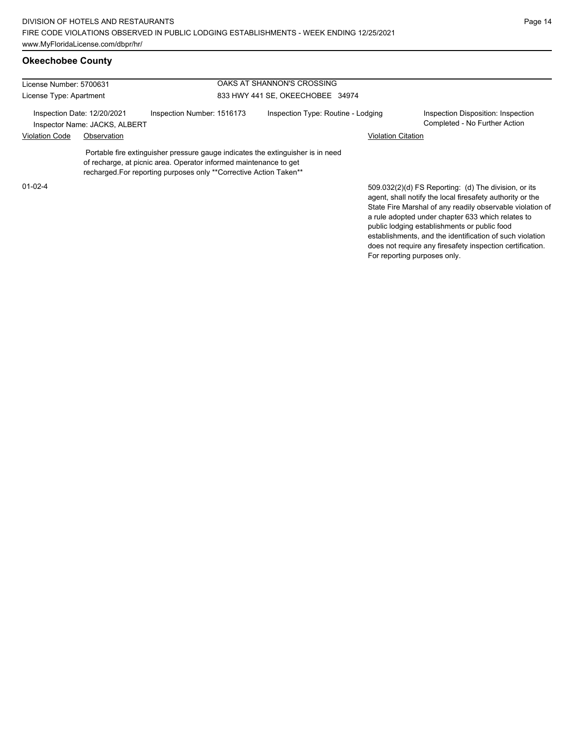# **Okeechobee County**

| License Number: 5700631<br>License Type: Apartment           |             |                                                                                                                                                                                                                            | OAKS AT SHANNON'S CROSSING         |                           |                                                                                                                                                                                                                                                                                                                                                 |  |
|--------------------------------------------------------------|-------------|----------------------------------------------------------------------------------------------------------------------------------------------------------------------------------------------------------------------------|------------------------------------|---------------------------|-------------------------------------------------------------------------------------------------------------------------------------------------------------------------------------------------------------------------------------------------------------------------------------------------------------------------------------------------|--|
|                                                              |             |                                                                                                                                                                                                                            | 833 HWY 441 SE, OKEECHOBEE 34974   |                           |                                                                                                                                                                                                                                                                                                                                                 |  |
| Inspection Date: 12/20/2021<br>Inspector Name: JACKS, ALBERT |             | Inspection Number: 1516173                                                                                                                                                                                                 | Inspection Type: Routine - Lodging |                           | Inspection Disposition: Inspection<br>Completed - No Further Action                                                                                                                                                                                                                                                                             |  |
| <b>Violation Code</b>                                        | Observation |                                                                                                                                                                                                                            |                                    | <b>Violation Citation</b> |                                                                                                                                                                                                                                                                                                                                                 |  |
|                                                              |             | Portable fire extinguisher pressure gauge indicates the extinguisher is in need<br>of recharge, at picnic area. Operator informed maintenance to get<br>recharged. For reporting purposes only **Corrective Action Taken** |                                    |                           |                                                                                                                                                                                                                                                                                                                                                 |  |
| $01-02-4$                                                    |             |                                                                                                                                                                                                                            |                                    |                           | 509.032(2)(d) FS Reporting: (d) The division, or its<br>agent, shall notify the local firesafety authority or the<br>State Fire Marshal of any readily observable violation of<br>a rule adopted under chapter 633 which relates to<br>public lodging establishments or public food<br>establishments, and the identification of such violation |  |

does not require any firesafety inspection certification.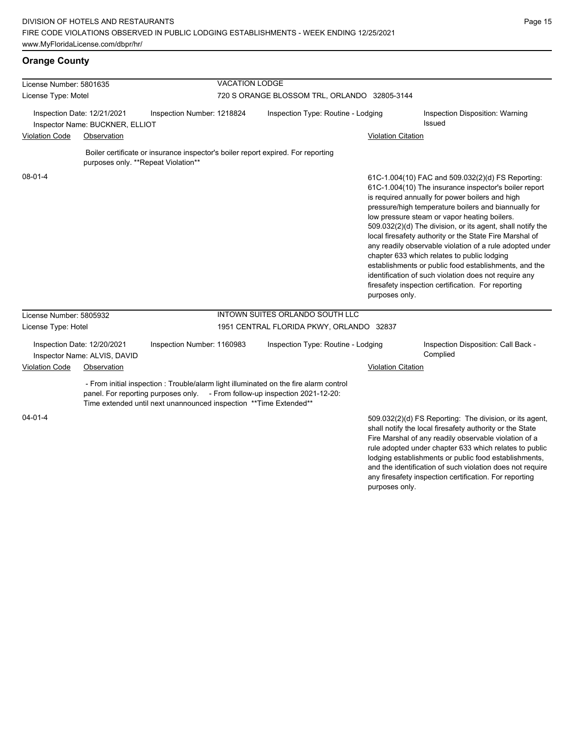#### **Orange County**

| License Number: 5801635 |                                                                            |                                                                    | <b>VACATION LODGE</b> |                                                                                                                                                                      |                           |                                                                                                                                                                                                                                                                                                                                                                                                                                                                                                                                                                                                                                                                                   |
|-------------------------|----------------------------------------------------------------------------|--------------------------------------------------------------------|-----------------------|----------------------------------------------------------------------------------------------------------------------------------------------------------------------|---------------------------|-----------------------------------------------------------------------------------------------------------------------------------------------------------------------------------------------------------------------------------------------------------------------------------------------------------------------------------------------------------------------------------------------------------------------------------------------------------------------------------------------------------------------------------------------------------------------------------------------------------------------------------------------------------------------------------|
| License Type: Motel     |                                                                            |                                                                    |                       | 720 S ORANGE BLOSSOM TRL, ORLANDO 32805-3144                                                                                                                         |                           |                                                                                                                                                                                                                                                                                                                                                                                                                                                                                                                                                                                                                                                                                   |
|                         | Inspection Date: 12/21/2021<br>Inspector Name: BUCKNER, ELLIOT             | Inspection Number: 1218824                                         |                       | Inspection Type: Routine - Lodging                                                                                                                                   |                           | Inspection Disposition: Warning<br>Issued                                                                                                                                                                                                                                                                                                                                                                                                                                                                                                                                                                                                                                         |
| <b>Violation Code</b>   | Observation                                                                |                                                                    |                       |                                                                                                                                                                      | <b>Violation Citation</b> |                                                                                                                                                                                                                                                                                                                                                                                                                                                                                                                                                                                                                                                                                   |
|                         |                                                                            | purposes only. **Repeat Violation**                                |                       | Boiler certificate or insurance inspector's boiler report expired. For reporting                                                                                     |                           |                                                                                                                                                                                                                                                                                                                                                                                                                                                                                                                                                                                                                                                                                   |
| $08 - 01 - 4$           |                                                                            |                                                                    |                       |                                                                                                                                                                      | purposes only.            | 61C-1.004(10) FAC and 509.032(2)(d) FS Reporting:<br>61C-1.004(10) The insurance inspector's boiler report<br>is required annually for power boilers and high<br>pressure/high temperature boilers and biannually for<br>low pressure steam or vapor heating boilers.<br>509.032(2)(d) The division, or its agent, shall notify the<br>local firesafety authority or the State Fire Marshal of<br>any readily observable violation of a rule adopted under<br>chapter 633 which relates to public lodging<br>establishments or public food establishments, and the<br>identification of such violation does not require any<br>firesafety inspection certification. For reporting |
| License Number: 5805932 |                                                                            |                                                                    |                       | INTOWN SUITES ORLANDO SOUTH LLC                                                                                                                                      |                           |                                                                                                                                                                                                                                                                                                                                                                                                                                                                                                                                                                                                                                                                                   |
| License Type: Hotel     |                                                                            |                                                                    |                       | 1951 CENTRAL FLORIDA PKWY, ORLANDO 32837                                                                                                                             |                           |                                                                                                                                                                                                                                                                                                                                                                                                                                                                                                                                                                                                                                                                                   |
| <b>Violation Code</b>   | Inspection Date: 12/20/2021<br>Inspector Name: ALVIS, DAVID<br>Observation | Inspection Number: 1160983                                         |                       | Inspection Type: Routine - Lodging                                                                                                                                   | <b>Violation Citation</b> | Inspection Disposition: Call Back -<br>Complied                                                                                                                                                                                                                                                                                                                                                                                                                                                                                                                                                                                                                                   |
|                         |                                                                            | Time extended until next unannounced inspection ** Time Extended** |                       | - From initial inspection : Trouble/alarm light illuminated on the fire alarm control<br>panel. For reporting purposes only. - From follow-up inspection 2021-12-20: |                           |                                                                                                                                                                                                                                                                                                                                                                                                                                                                                                                                                                                                                                                                                   |
| $04 - 01 - 4$           |                                                                            |                                                                    |                       |                                                                                                                                                                      |                           | 509.032(2)(d) FS Reporting: The division, or its agent,<br>shall notify the local firesafety authority or the State<br>$\mathbf{r}$ , and $\mathbf{r}$ , and $\mathbf{r}$ , and $\mathbf{r}$ , and $\mathbf{r}$ , and $\mathbf{r}$ , and $\mathbf{r}$                                                                                                                                                                                                                                                                                                                                                                                                                             |

Fire Marshal of any readily observable violation of a rule adopted under chapter 633 which relates to public lodging establishments or public food establishments, and the identification of such violation does not require any firesafety inspection certification. For reporting purposes only.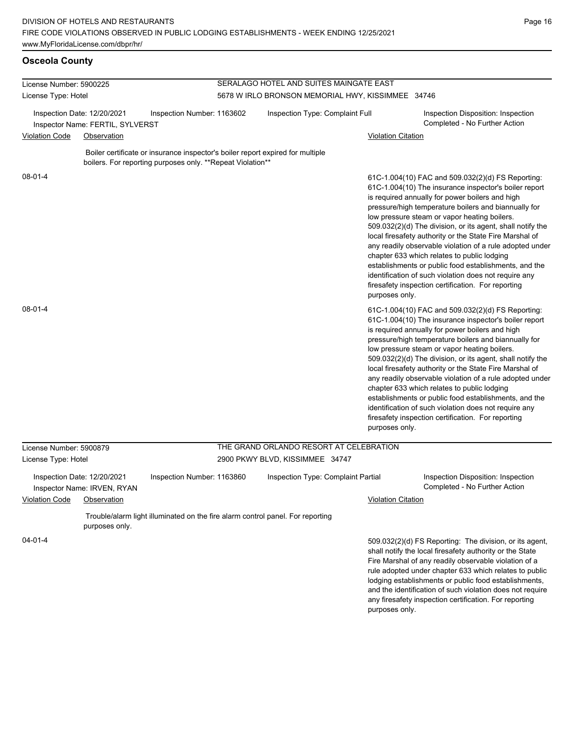#### **Osceola County**

| License Number: 5900225                                                                       |                                                            |                                                                                                                                               | SERALAGO HOTEL AND SUITES MAINGATE EAST           |                                         |                           |                                                                                                                                                                                                                                                                                                                                                                                                                                                                                                                                                                                                                                                                                   |  |
|-----------------------------------------------------------------------------------------------|------------------------------------------------------------|-----------------------------------------------------------------------------------------------------------------------------------------------|---------------------------------------------------|-----------------------------------------|---------------------------|-----------------------------------------------------------------------------------------------------------------------------------------------------------------------------------------------------------------------------------------------------------------------------------------------------------------------------------------------------------------------------------------------------------------------------------------------------------------------------------------------------------------------------------------------------------------------------------------------------------------------------------------------------------------------------------|--|
| License Type: Hotel                                                                           |                                                            |                                                                                                                                               | 5678 W IRLO BRONSON MEMORIAL HWY, KISSIMMEE 34746 |                                         |                           |                                                                                                                                                                                                                                                                                                                                                                                                                                                                                                                                                                                                                                                                                   |  |
| Inspection Date: 12/20/2021<br>Inspection Number: 1163602<br>Inspector Name: FERTIL, SYLVERST |                                                            |                                                                                                                                               |                                                   | Inspection Type: Complaint Full         |                           | Inspection Disposition: Inspection<br>Completed - No Further Action                                                                                                                                                                                                                                                                                                                                                                                                                                                                                                                                                                                                               |  |
| <b>Violation Code</b>                                                                         | Observation                                                |                                                                                                                                               |                                                   |                                         | <b>Violation Citation</b> |                                                                                                                                                                                                                                                                                                                                                                                                                                                                                                                                                                                                                                                                                   |  |
|                                                                                               |                                                            | Boiler certificate or insurance inspector's boiler report expired for multiple<br>boilers. For reporting purposes only. ** Repeat Violation** |                                                   |                                         |                           |                                                                                                                                                                                                                                                                                                                                                                                                                                                                                                                                                                                                                                                                                   |  |
| 08-01-4                                                                                       |                                                            |                                                                                                                                               |                                                   |                                         | purposes only.            | 61C-1.004(10) FAC and 509.032(2)(d) FS Reporting:<br>61C-1.004(10) The insurance inspector's boiler report<br>is required annually for power boilers and high<br>pressure/high temperature boilers and biannually for<br>low pressure steam or vapor heating boilers.<br>509.032(2)(d) The division, or its agent, shall notify the<br>local firesafety authority or the State Fire Marshal of<br>any readily observable violation of a rule adopted under<br>chapter 633 which relates to public lodging<br>establishments or public food establishments, and the<br>identification of such violation does not require any<br>firesafety inspection certification. For reporting |  |
| 08-01-4                                                                                       |                                                            |                                                                                                                                               |                                                   |                                         | purposes only.            | 61C-1.004(10) FAC and 509.032(2)(d) FS Reporting:<br>61C-1.004(10) The insurance inspector's boiler report<br>is required annually for power boilers and high<br>pressure/high temperature boilers and biannually for<br>low pressure steam or vapor heating boilers.<br>509.032(2)(d) The division, or its agent, shall notify the<br>local firesafety authority or the State Fire Marshal of<br>any readily observable violation of a rule adopted under<br>chapter 633 which relates to public lodging<br>establishments or public food establishments, and the<br>identification of such violation does not require any<br>firesafety inspection certification. For reporting |  |
| License Number: 5900879                                                                       |                                                            |                                                                                                                                               |                                                   | THE GRAND ORLANDO RESORT AT CELEBRATION |                           |                                                                                                                                                                                                                                                                                                                                                                                                                                                                                                                                                                                                                                                                                   |  |
| License Type: Hotel                                                                           |                                                            | 2900 PKWY BLVD, KISSIMMEE 34747                                                                                                               |                                                   |                                         |                           |                                                                                                                                                                                                                                                                                                                                                                                                                                                                                                                                                                                                                                                                                   |  |
|                                                                                               | Inspection Date: 12/20/2021<br>Inspector Name: IRVEN, RYAN | Inspection Number: 1163860                                                                                                                    |                                                   | Inspection Type: Complaint Partial      |                           | Inspection Disposition: Inspection<br>Completed - No Further Action                                                                                                                                                                                                                                                                                                                                                                                                                                                                                                                                                                                                               |  |
| <b>Violation Code</b>                                                                         | Observation                                                |                                                                                                                                               |                                                   |                                         | <b>Violation Citation</b> |                                                                                                                                                                                                                                                                                                                                                                                                                                                                                                                                                                                                                                                                                   |  |
|                                                                                               | purposes only.                                             | Trouble/alarm light illuminated on the fire alarm control panel. For reporting                                                                |                                                   |                                         |                           |                                                                                                                                                                                                                                                                                                                                                                                                                                                                                                                                                                                                                                                                                   |  |
| 04-01-4                                                                                       |                                                            |                                                                                                                                               |                                                   |                                         |                           | 509.032(2)(d) FS Reporting: The division, or its agent,<br>shall notify the local firesafety authority or the State<br>Fire Marshal of any readily observable violation of a<br>rule adopted under chapter 633 which relates to public                                                                                                                                                                                                                                                                                                                                                                                                                                            |  |

rule adopted under chapter 633 which relates to public lodging establishments or public food establishments, and the identification of such violation does not require any firesafety inspection certification. For reporting purposes only.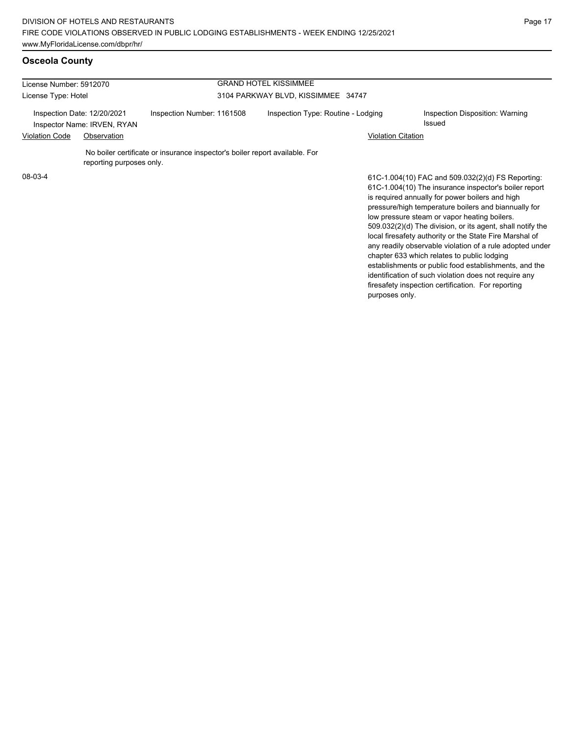# **Osceola County**

| License Number: 5912070             |                                                            |                                                                             | <b>GRAND HOTEL KISSIMMEE</b>       |                                                                                                                                                                                                                                                                                                                                                                                                                                                                                                                                                                    |
|-------------------------------------|------------------------------------------------------------|-----------------------------------------------------------------------------|------------------------------------|--------------------------------------------------------------------------------------------------------------------------------------------------------------------------------------------------------------------------------------------------------------------------------------------------------------------------------------------------------------------------------------------------------------------------------------------------------------------------------------------------------------------------------------------------------------------|
| License Type: Hotel                 |                                                            |                                                                             | 3104 PARKWAY BLVD, KISSIMMEE 34747 |                                                                                                                                                                                                                                                                                                                                                                                                                                                                                                                                                                    |
|                                     | Inspection Date: 12/20/2021<br>Inspector Name: IRVEN, RYAN | Inspection Number: 1161508                                                  | Inspection Type: Routine - Lodging | Inspection Disposition: Warning<br>Issued                                                                                                                                                                                                                                                                                                                                                                                                                                                                                                                          |
| <b>Violation Code</b>               | Observation                                                |                                                                             |                                    | <b>Violation Citation</b>                                                                                                                                                                                                                                                                                                                                                                                                                                                                                                                                          |
|                                     |                                                            | No boiler certificate or insurance inspector's boiler report available. For |                                    |                                                                                                                                                                                                                                                                                                                                                                                                                                                                                                                                                                    |
| reporting purposes only.<br>08-03-4 |                                                            |                                                                             |                                    | 61C-1.004(10) FAC and 509.032(2)(d) FS Reporting:<br>61C-1.004(10) The insurance inspector's boiler report<br>is required annually for power boilers and high<br>pressure/high temperature boilers and biannually for<br>low pressure steam or vapor heating boilers.<br>509.032(2)(d) The division, or its agent, shall notify the<br>local firesafety authority or the State Fire Marshal of<br>any readily observable violation of a rule adopted under<br>chapter 633 which relates to public lodging<br>establishments or public food establishments, and the |

identification of such violation does not require any firesafety inspection certification. For reporting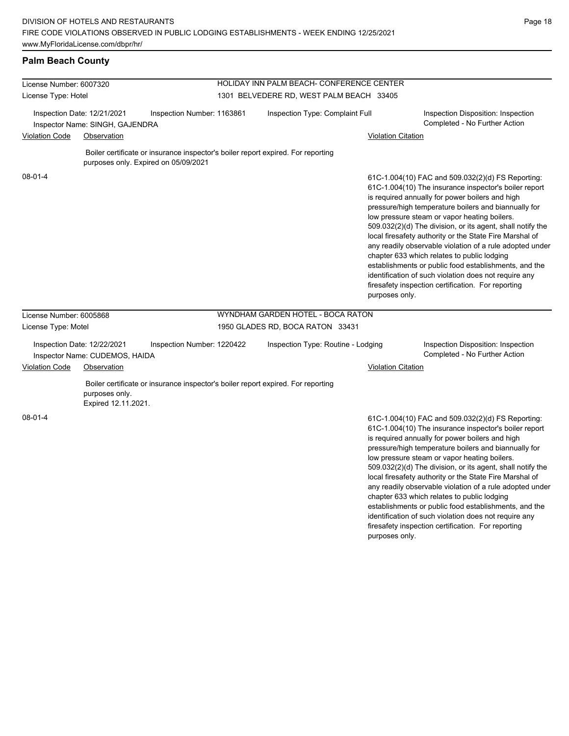#### **Palm Beach County**

| License Number: 6007320 |                                                                |                                                                                                                          | HOLIDAY INN PALM BEACH- CONFERENCE CENTER |                                          |                           |                                                                                                                                                                                                                                                                                                                                                                                                                                                                                                                                                                                                                                                                                   |  |
|-------------------------|----------------------------------------------------------------|--------------------------------------------------------------------------------------------------------------------------|-------------------------------------------|------------------------------------------|---------------------------|-----------------------------------------------------------------------------------------------------------------------------------------------------------------------------------------------------------------------------------------------------------------------------------------------------------------------------------------------------------------------------------------------------------------------------------------------------------------------------------------------------------------------------------------------------------------------------------------------------------------------------------------------------------------------------------|--|
| License Type: Hotel     |                                                                |                                                                                                                          |                                           | 1301 BELVEDERE RD, WEST PALM BEACH 33405 |                           |                                                                                                                                                                                                                                                                                                                                                                                                                                                                                                                                                                                                                                                                                   |  |
|                         | Inspection Date: 12/21/2021<br>Inspector Name: SINGH, GAJENDRA | Inspection Number: 1163861                                                                                               |                                           | Inspection Type: Complaint Full          |                           | Inspection Disposition: Inspection<br>Completed - No Further Action                                                                                                                                                                                                                                                                                                                                                                                                                                                                                                                                                                                                               |  |
| <b>Violation Code</b>   | Observation                                                    |                                                                                                                          |                                           |                                          | <b>Violation Citation</b> |                                                                                                                                                                                                                                                                                                                                                                                                                                                                                                                                                                                                                                                                                   |  |
|                         |                                                                | Boiler certificate or insurance inspector's boiler report expired. For reporting<br>purposes only. Expired on 05/09/2021 |                                           |                                          |                           |                                                                                                                                                                                                                                                                                                                                                                                                                                                                                                                                                                                                                                                                                   |  |
| $08 - 01 - 4$           |                                                                |                                                                                                                          |                                           |                                          | purposes only.            | 61C-1.004(10) FAC and 509.032(2)(d) FS Reporting:<br>61C-1.004(10) The insurance inspector's boiler report<br>is required annually for power boilers and high<br>pressure/high temperature boilers and biannually for<br>low pressure steam or vapor heating boilers.<br>509.032(2)(d) The division, or its agent, shall notify the<br>local firesafety authority or the State Fire Marshal of<br>any readily observable violation of a rule adopted under<br>chapter 633 which relates to public lodging<br>establishments or public food establishments, and the<br>identification of such violation does not require any<br>firesafety inspection certification. For reporting |  |
| License Number: 6005868 |                                                                |                                                                                                                          |                                           | WYNDHAM GARDEN HOTEL - BOCA RATON        |                           |                                                                                                                                                                                                                                                                                                                                                                                                                                                                                                                                                                                                                                                                                   |  |
| License Type: Motel     |                                                                |                                                                                                                          |                                           | 1950 GLADES RD, BOCA RATON 33431         |                           |                                                                                                                                                                                                                                                                                                                                                                                                                                                                                                                                                                                                                                                                                   |  |
|                         | Inspection Date: 12/22/2021<br>Inspector Name: CUDEMOS, HAIDA  | Inspection Number: 1220422                                                                                               |                                           | Inspection Type: Routine - Lodging       |                           | Inspection Disposition: Inspection<br>Completed - No Further Action                                                                                                                                                                                                                                                                                                                                                                                                                                                                                                                                                                                                               |  |
| <b>Violation Code</b>   | Observation                                                    |                                                                                                                          |                                           |                                          | <b>Violation Citation</b> |                                                                                                                                                                                                                                                                                                                                                                                                                                                                                                                                                                                                                                                                                   |  |
|                         | purposes only.<br>Expired 12.11.2021.                          | Boiler certificate or insurance inspector's boiler report expired. For reporting                                         |                                           |                                          |                           |                                                                                                                                                                                                                                                                                                                                                                                                                                                                                                                                                                                                                                                                                   |  |
| $08 - 01 - 4$           |                                                                |                                                                                                                          |                                           |                                          |                           | 61C-1.004(10) FAC and 509.032(2)(d) FS Reporting:<br>61C-1.004(10) The insurance inspector's boiler report<br>is required annually for power boilers and high<br>pressure/high temperature boilers and biannually for<br>low pressure steam or vapor heating boilers.<br>509.032(2)(d) The division, or its agent, shall notify the<br>$\sim$ 1. Construction of the second contracts $\sim$ Opening Fig. . Advance to the C                                                                                                                                                                                                                                                      |  |

local firesafety authority or the State Fire Marshal of any readily observable violation of a rule adopted under chapter 633 which relates to public lodging establishments or public food establishments, and the identification of such violation does not require any firesafety inspection certification. For reporting purposes only.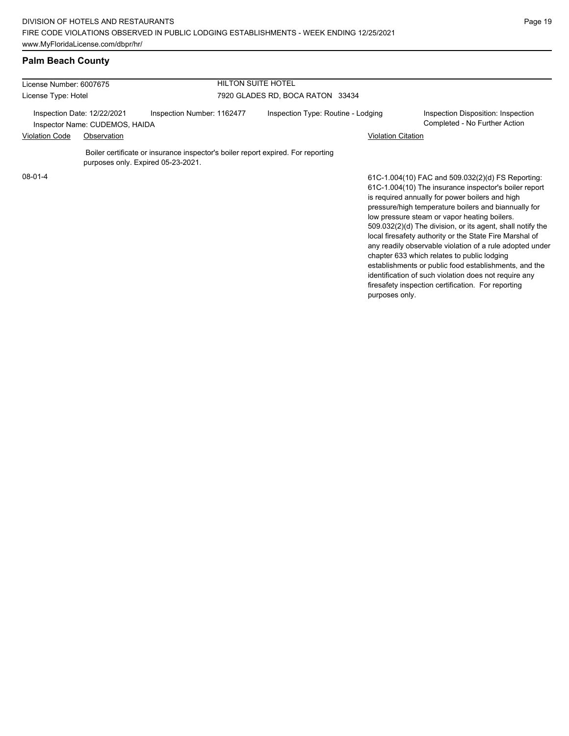# **Palm Beach County**

| License Number: 6007675                                       |             | <b>HILTON SUITE HOTEL</b>                                                        |                                    |                           |                                                                                                                                                                                                                                                                                                                                                                                                                                                                                                           |
|---------------------------------------------------------------|-------------|----------------------------------------------------------------------------------|------------------------------------|---------------------------|-----------------------------------------------------------------------------------------------------------------------------------------------------------------------------------------------------------------------------------------------------------------------------------------------------------------------------------------------------------------------------------------------------------------------------------------------------------------------------------------------------------|
| License Type: Hotel                                           |             |                                                                                  | 7920 GLADES RD, BOCA RATON 33434   |                           |                                                                                                                                                                                                                                                                                                                                                                                                                                                                                                           |
| Inspection Date: 12/22/2021<br>Inspector Name: CUDEMOS, HAIDA |             | Inspection Number: 1162477                                                       | Inspection Type: Routine - Lodging |                           | Inspection Disposition: Inspection<br>Completed - No Further Action                                                                                                                                                                                                                                                                                                                                                                                                                                       |
| <b>Violation Code</b>                                         | Observation |                                                                                  |                                    | <b>Violation Citation</b> |                                                                                                                                                                                                                                                                                                                                                                                                                                                                                                           |
|                                                               |             | Boiler certificate or insurance inspector's boiler report expired. For reporting |                                    |                           |                                                                                                                                                                                                                                                                                                                                                                                                                                                                                                           |
| purposes only. Expired 05-23-2021.<br>08-01-4                 |             |                                                                                  |                                    |                           | 61C-1.004(10) FAC and 509.032(2)(d) FS Reporting:<br>61C-1.004(10) The insurance inspector's boiler report<br>is required annually for power boilers and high<br>pressure/high temperature boilers and biannually for<br>low pressure steam or vapor heating boilers.<br>509.032(2)(d) The division, or its agent, shall notify the<br>local firesafety authority or the State Fire Marshal of<br>any readily observable violation of a rule adopted under<br>chapter 633 which relates to public lodging |

Page 19

establishments or public food establishments, and the identification of such violation does not require any firesafety inspection certification. For reporting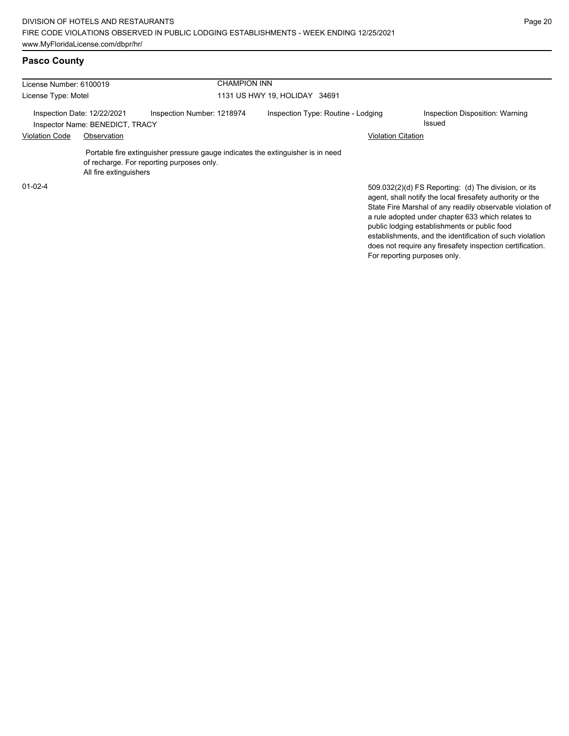does not require any firesafety inspection certification.

For reporting purposes only.

## **Pasco County**

| License Number: 6100019 |                                 |                                                                                                                              | <b>CHAMPION INN</b><br>1131 US HWY 19, HOLIDAY 34691 |                                                                                                                                                                                                                                                                                                                                                 |  |  |  |
|-------------------------|---------------------------------|------------------------------------------------------------------------------------------------------------------------------|------------------------------------------------------|-------------------------------------------------------------------------------------------------------------------------------------------------------------------------------------------------------------------------------------------------------------------------------------------------------------------------------------------------|--|--|--|
| License Type: Motel     |                                 |                                                                                                                              |                                                      |                                                                                                                                                                                                                                                                                                                                                 |  |  |  |
|                         | Inspection Date: 12/22/2021     | Inspection Number: 1218974                                                                                                   | Inspection Type: Routine - Lodging                   | Inspection Disposition: Warning                                                                                                                                                                                                                                                                                                                 |  |  |  |
|                         | Inspector Name: BENEDICT, TRACY |                                                                                                                              |                                                      | Issued                                                                                                                                                                                                                                                                                                                                          |  |  |  |
| <b>Violation Code</b>   | Observation                     |                                                                                                                              |                                                      | Violation Citation                                                                                                                                                                                                                                                                                                                              |  |  |  |
|                         | All fire extinguishers          | Portable fire extinguisher pressure gauge indicates the extinguisher is in need<br>of recharge. For reporting purposes only. |                                                      |                                                                                                                                                                                                                                                                                                                                                 |  |  |  |
| $01 - 02 - 4$           |                                 |                                                                                                                              |                                                      | 509.032(2)(d) FS Reporting: (d) The division, or its<br>agent, shall notify the local firesafety authority or the<br>State Fire Marshal of any readily observable violation of<br>a rule adopted under chapter 633 which relates to<br>public lodging establishments or public food<br>establishments, and the identification of such violation |  |  |  |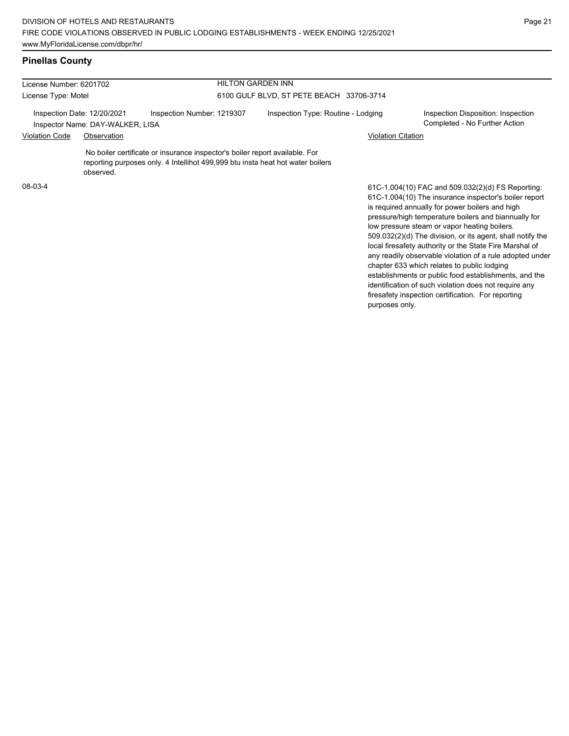# **Pinellas County**

| License Number: 6201702                                         |             | <b>HILTON GARDEN INN</b>                                                                                                                                      |                                          |                                                                                                                                                                                                                                                                                                                                                                                                                                                                                                                                                                                                                                                                                   |
|-----------------------------------------------------------------|-------------|---------------------------------------------------------------------------------------------------------------------------------------------------------------|------------------------------------------|-----------------------------------------------------------------------------------------------------------------------------------------------------------------------------------------------------------------------------------------------------------------------------------------------------------------------------------------------------------------------------------------------------------------------------------------------------------------------------------------------------------------------------------------------------------------------------------------------------------------------------------------------------------------------------------|
| License Type: Motel                                             |             |                                                                                                                                                               | 6100 GULF BLVD, ST PETE BEACH 33706-3714 |                                                                                                                                                                                                                                                                                                                                                                                                                                                                                                                                                                                                                                                                                   |
| Inspection Date: 12/20/2021<br>Inspector Name: DAY-WALKER, LISA |             | Inspection Number: 1219307                                                                                                                                    | Inspection Type: Routine - Lodging       | Inspection Disposition: Inspection<br>Completed - No Further Action                                                                                                                                                                                                                                                                                                                                                                                                                                                                                                                                                                                                               |
| <b>Violation Code</b>                                           | Observation |                                                                                                                                                               |                                          | <b>Violation Citation</b>                                                                                                                                                                                                                                                                                                                                                                                                                                                                                                                                                                                                                                                         |
|                                                                 | observed.   | No boiler certificate or insurance inspector's boiler report available. For<br>reporting purposes only. 4 Intellihot 499,999 btu insta heat hot water boilers |                                          |                                                                                                                                                                                                                                                                                                                                                                                                                                                                                                                                                                                                                                                                                   |
| 08-03-4                                                         |             |                                                                                                                                                               |                                          | 61C-1.004(10) FAC and 509.032(2)(d) FS Reporting:<br>61C-1.004(10) The insurance inspector's boiler report<br>is required annually for power boilers and high<br>pressure/high temperature boilers and biannually for<br>low pressure steam or vapor heating boilers.<br>509.032(2)(d) The division, or its agent, shall notify the<br>local firesafety authority or the State Fire Marshal of<br>any readily observable violation of a rule adopted under<br>chapter 633 which relates to public lodging<br>establishments or public food establishments, and the<br>identification of such violation does not require any<br>firesafety inspection certification. For reporting |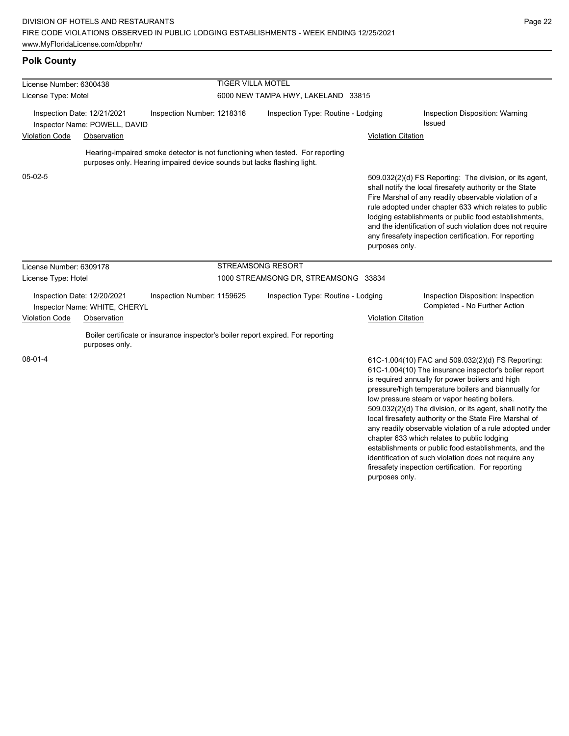# **Polk County**

| License Number: 6300438                                      |                                                                                                                                                          | <b>TIGER VILLA MOTEL</b>             |                                                                                                                                                                                                                                                                                                                                                                                                                                                                                                                                                                                                                                                                                   |  |  |  |
|--------------------------------------------------------------|----------------------------------------------------------------------------------------------------------------------------------------------------------|--------------------------------------|-----------------------------------------------------------------------------------------------------------------------------------------------------------------------------------------------------------------------------------------------------------------------------------------------------------------------------------------------------------------------------------------------------------------------------------------------------------------------------------------------------------------------------------------------------------------------------------------------------------------------------------------------------------------------------------|--|--|--|
| License Type: Motel                                          |                                                                                                                                                          | 6000 NEW TAMPA HWY, LAKELAND 33815   |                                                                                                                                                                                                                                                                                                                                                                                                                                                                                                                                                                                                                                                                                   |  |  |  |
| Inspection Date: 12/21/2021<br>Inspector Name: POWELL, DAVID | Inspection Number: 1218316                                                                                                                               | Inspection Type: Routine - Lodging   | Inspection Disposition: Warning<br>Issued                                                                                                                                                                                                                                                                                                                                                                                                                                                                                                                                                                                                                                         |  |  |  |
| <b>Violation Code</b><br>Observation                         |                                                                                                                                                          |                                      | <b>Violation Citation</b>                                                                                                                                                                                                                                                                                                                                                                                                                                                                                                                                                                                                                                                         |  |  |  |
|                                                              | Hearing-impaired smoke detector is not functioning when tested. For reporting<br>purposes only. Hearing impaired device sounds but lacks flashing light. |                                      |                                                                                                                                                                                                                                                                                                                                                                                                                                                                                                                                                                                                                                                                                   |  |  |  |
| $05-02-5$                                                    |                                                                                                                                                          |                                      | 509.032(2)(d) FS Reporting: The division, or its agent,<br>shall notify the local firesafety authority or the State<br>Fire Marshal of any readily observable violation of a<br>rule adopted under chapter 633 which relates to public<br>lodging establishments or public food establishments,<br>and the identification of such violation does not require<br>any firesafety inspection certification. For reporting<br>purposes only.                                                                                                                                                                                                                                          |  |  |  |
| License Number: 6309178                                      |                                                                                                                                                          | <b>STREAMSONG RESORT</b>             |                                                                                                                                                                                                                                                                                                                                                                                                                                                                                                                                                                                                                                                                                   |  |  |  |
| License Type: Hotel                                          |                                                                                                                                                          | 1000 STREAMSONG DR, STREAMSONG 33834 |                                                                                                                                                                                                                                                                                                                                                                                                                                                                                                                                                                                                                                                                                   |  |  |  |
| Inspection Date: 12/20/2021<br>Inspector Name: WHITE, CHERYL | Inspection Number: 1159625                                                                                                                               | Inspection Type: Routine - Lodging   | Inspection Disposition: Inspection<br>Completed - No Further Action                                                                                                                                                                                                                                                                                                                                                                                                                                                                                                                                                                                                               |  |  |  |
| <b>Violation Code</b><br>Observation                         |                                                                                                                                                          |                                      | <b>Violation Citation</b>                                                                                                                                                                                                                                                                                                                                                                                                                                                                                                                                                                                                                                                         |  |  |  |
| purposes only.                                               | Boiler certificate or insurance inspector's boiler report expired. For reporting                                                                         |                                      |                                                                                                                                                                                                                                                                                                                                                                                                                                                                                                                                                                                                                                                                                   |  |  |  |
| 08-01-4                                                      |                                                                                                                                                          |                                      | 61C-1.004(10) FAC and 509.032(2)(d) FS Reporting:<br>61C-1.004(10) The insurance inspector's boiler report<br>is required annually for power boilers and high<br>pressure/high temperature boilers and biannually for<br>low pressure steam or vapor heating boilers.<br>509.032(2)(d) The division, or its agent, shall notify the<br>local firesafety authority or the State Fire Marshal of<br>any readily observable violation of a rule adopted under<br>chapter 633 which relates to public lodging<br>establishments or public food establishments, and the<br>identification of such violation does not require any<br>firesafety inspection certification. For reporting |  |  |  |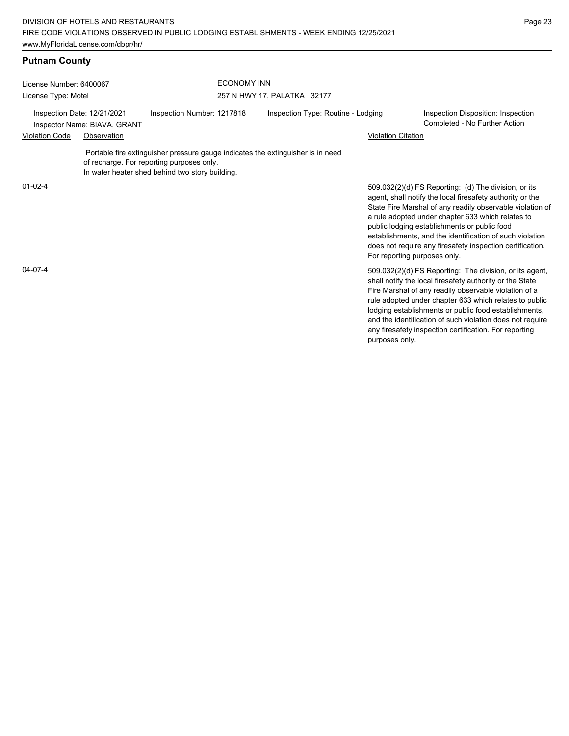| License Number: 6400067<br>License Type: Motel<br>Inspection Date: 12/21/2021<br>Inspector Name: BIAVA, GRANT |             | <b>ECONOMY INN</b>                                                                                                                                                              |                                    |                              |                                                                                                                                                                                                                                                                                                                                                                                                                        |
|---------------------------------------------------------------------------------------------------------------|-------------|---------------------------------------------------------------------------------------------------------------------------------------------------------------------------------|------------------------------------|------------------------------|------------------------------------------------------------------------------------------------------------------------------------------------------------------------------------------------------------------------------------------------------------------------------------------------------------------------------------------------------------------------------------------------------------------------|
|                                                                                                               |             |                                                                                                                                                                                 | 257 N HWY 17, PALATKA 32177        |                              |                                                                                                                                                                                                                                                                                                                                                                                                                        |
|                                                                                                               |             | Inspection Number: 1217818                                                                                                                                                      | Inspection Type: Routine - Lodging |                              | Inspection Disposition: Inspection<br>Completed - No Further Action                                                                                                                                                                                                                                                                                                                                                    |
| <b>Violation Code</b>                                                                                         | Observation |                                                                                                                                                                                 |                                    | <b>Violation Citation</b>    |                                                                                                                                                                                                                                                                                                                                                                                                                        |
|                                                                                                               |             | Portable fire extinguisher pressure gauge indicates the extinguisher is in need<br>of recharge. For reporting purposes only.<br>In water heater shed behind two story building. |                                    |                              |                                                                                                                                                                                                                                                                                                                                                                                                                        |
| $01-02-4$                                                                                                     |             |                                                                                                                                                                                 |                                    | For reporting purposes only. | 509.032(2)(d) FS Reporting: (d) The division, or its<br>agent, shall notify the local firesafety authority or the<br>State Fire Marshal of any readily observable violation of<br>a rule adopted under chapter 633 which relates to<br>public lodging establishments or public food<br>establishments, and the identification of such violation<br>does not require any firesafety inspection certification.           |
| $04 - 07 - 4$                                                                                                 |             |                                                                                                                                                                                 |                                    | purposes only.               | 509.032(2)(d) FS Reporting: The division, or its agent,<br>shall notify the local firesafety authority or the State<br>Fire Marshal of any readily observable violation of a<br>rule adopted under chapter 633 which relates to public<br>lodging establishments or public food establishments,<br>and the identification of such violation does not require<br>any firesafety inspection certification. For reporting |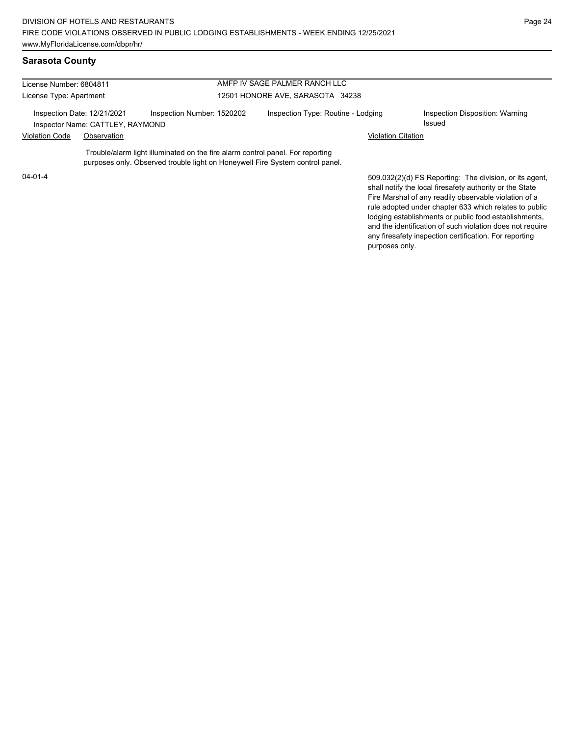# **Sarasota County**

| License Number: 6804811                                                                        |  |                                                                                | AMFP IV SAGE PALMER RANCH LLC      |                                                                                                                                                                                                                                                                                                                                                              |  |  |  |
|------------------------------------------------------------------------------------------------|--|--------------------------------------------------------------------------------|------------------------------------|--------------------------------------------------------------------------------------------------------------------------------------------------------------------------------------------------------------------------------------------------------------------------------------------------------------------------------------------------------------|--|--|--|
| License Type: Apartment                                                                        |  |                                                                                | 12501 HONORE AVE, SARASOTA 34238   |                                                                                                                                                                                                                                                                                                                                                              |  |  |  |
| Inspection Date: 12/21/2021<br>Inspector Name: CATTLEY, RAYMOND                                |  | Inspection Number: 1520202                                                     | Inspection Type: Routine - Lodging | Inspection Disposition: Warning<br>Issued                                                                                                                                                                                                                                                                                                                    |  |  |  |
| <b>Violation Code</b><br>Observation                                                           |  |                                                                                | <b>Violation Citation</b>          |                                                                                                                                                                                                                                                                                                                                                              |  |  |  |
|                                                                                                |  | Trouble/alarm light illuminated on the fire alarm control panel. For reporting |                                    |                                                                                                                                                                                                                                                                                                                                                              |  |  |  |
| purposes only. Observed trouble light on Honeywell Fire System control panel.<br>$04 - 01 - 4$ |  |                                                                                |                                    | 509.032(2)(d) FS Reporting: The division, or its agent,<br>shall notify the local firesafety authority or the State<br>Fire Marshal of any readily observable violation of a<br>rule adopted under chapter 633 which relates to public<br>lodging establishments or public food establishments,<br>and the identification of such violation does not require |  |  |  |

any firesafety inspection certification. For reporting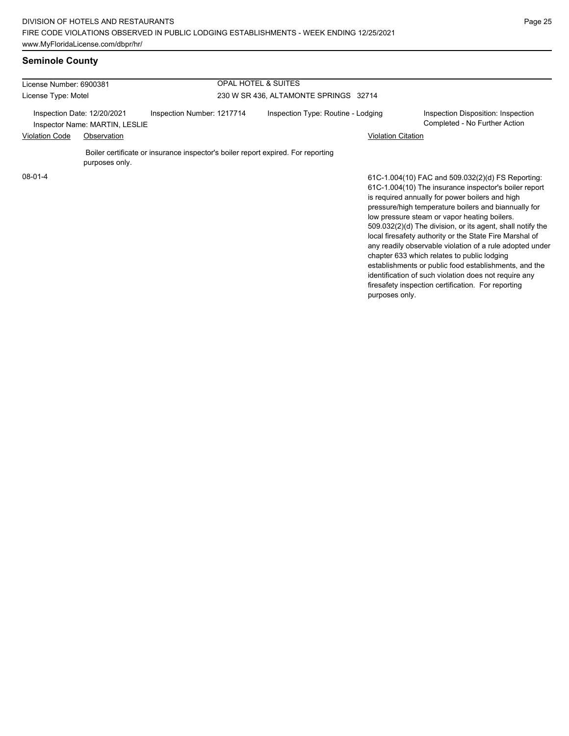# **Seminole County**

| License Number: 6900381<br>License Type: Motel                |                | OPAL HOTEL & SUITES                   |                                                                                  |                                    |  |                                                                                                                                                                                                                                                                                                                                                                                                                                                                                                                                                                                                                                                                                   |
|---------------------------------------------------------------|----------------|---------------------------------------|----------------------------------------------------------------------------------|------------------------------------|--|-----------------------------------------------------------------------------------------------------------------------------------------------------------------------------------------------------------------------------------------------------------------------------------------------------------------------------------------------------------------------------------------------------------------------------------------------------------------------------------------------------------------------------------------------------------------------------------------------------------------------------------------------------------------------------------|
|                                                               |                | 230 W SR 436, ALTAMONTE SPRINGS 32714 |                                                                                  |                                    |  |                                                                                                                                                                                                                                                                                                                                                                                                                                                                                                                                                                                                                                                                                   |
| Inspection Date: 12/20/2021<br>Inspector Name: MARTIN, LESLIE |                | Inspection Number: 1217714            |                                                                                  | Inspection Type: Routine - Lodging |  | Inspection Disposition: Inspection<br>Completed - No Further Action                                                                                                                                                                                                                                                                                                                                                                                                                                                                                                                                                                                                               |
| <b>Violation Code</b><br>Observation                          |                |                                       |                                                                                  | <b>Violation Citation</b>          |  |                                                                                                                                                                                                                                                                                                                                                                                                                                                                                                                                                                                                                                                                                   |
|                                                               | purposes only. |                                       | Boiler certificate or insurance inspector's boiler report expired. For reporting |                                    |  |                                                                                                                                                                                                                                                                                                                                                                                                                                                                                                                                                                                                                                                                                   |
| $08-01-4$                                                     |                |                                       |                                                                                  |                                    |  | 61C-1.004(10) FAC and 509.032(2)(d) FS Reporting:<br>61C-1.004(10) The insurance inspector's boiler report<br>is required annually for power boilers and high<br>pressure/high temperature boilers and biannually for<br>low pressure steam or vapor heating boilers.<br>509.032(2)(d) The division, or its agent, shall notify the<br>local firesafety authority or the State Fire Marshal of<br>any readily observable violation of a rule adopted under<br>chapter 633 which relates to public lodging<br>establishments or public food establishments, and the<br>identification of such violation does not require any<br>firesafety inspection certification. For reporting |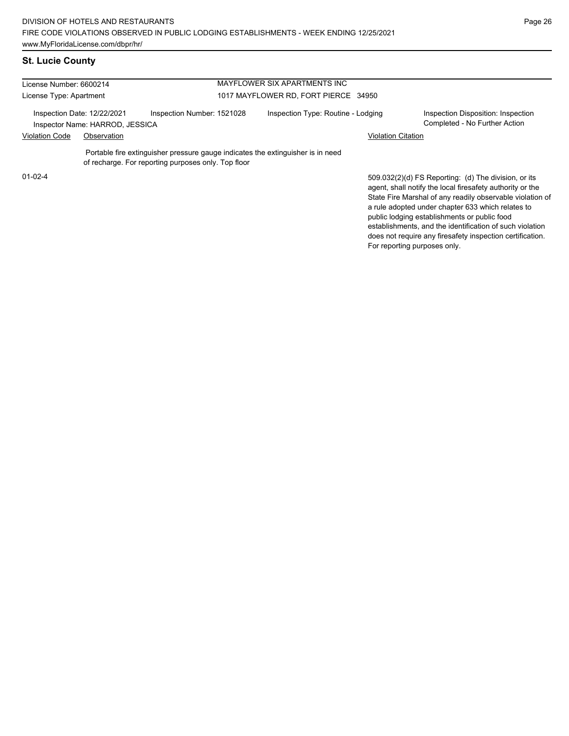# **St. Lucie County**

| License Number: 6600214                                        |             |                                                                                                                                        | MAYFLOWER SIX APARTMENTS INC         |                                                                                                                                                                                                                                                                                                                                                 |
|----------------------------------------------------------------|-------------|----------------------------------------------------------------------------------------------------------------------------------------|--------------------------------------|-------------------------------------------------------------------------------------------------------------------------------------------------------------------------------------------------------------------------------------------------------------------------------------------------------------------------------------------------|
| License Type: Apartment                                        |             |                                                                                                                                        | 1017 MAYFLOWER RD, FORT PIERCE 34950 |                                                                                                                                                                                                                                                                                                                                                 |
| Inspection Date: 12/22/2021<br>Inspector Name: HARROD, JESSICA |             | Inspection Number: 1521028                                                                                                             | Inspection Type: Routine - Lodging   | Inspection Disposition: Inspection<br>Completed - No Further Action                                                                                                                                                                                                                                                                             |
| <b>Violation Code</b>                                          | Observation |                                                                                                                                        | <b>Violation Citation</b>            |                                                                                                                                                                                                                                                                                                                                                 |
|                                                                |             | Portable fire extinguisher pressure gauge indicates the extinguisher is in need<br>of recharge. For reporting purposes only. Top floor |                                      |                                                                                                                                                                                                                                                                                                                                                 |
| $01 - 02 - 4$                                                  |             |                                                                                                                                        |                                      | 509.032(2)(d) FS Reporting: (d) The division, or its<br>agent, shall notify the local firesafety authority or the<br>State Fire Marshal of any readily observable violation of<br>a rule adopted under chapter 633 which relates to<br>public lodging establishments or public food<br>establishments, and the identification of such violation |

does not require any firesafety inspection certification.